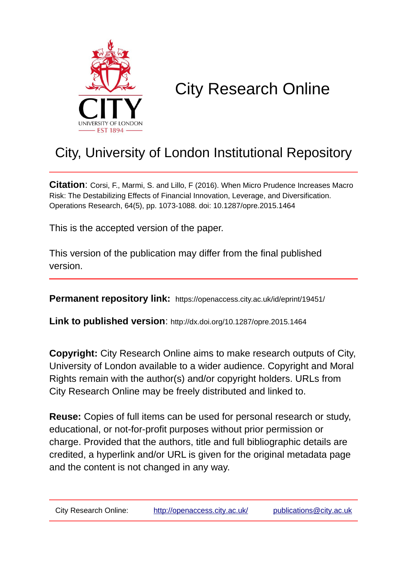

# City Research Online

# City, University of London Institutional Repository

**Citation**: Corsi, F., Marmi, S. and Lillo, F (2016). When Micro Prudence Increases Macro Risk: The Destabilizing Effects of Financial Innovation, Leverage, and Diversification. Operations Research, 64(5), pp. 1073-1088. doi: 10.1287/opre.2015.1464

This is the accepted version of the paper.

This version of the publication may differ from the final published version.

**Permanent repository link:** https://openaccess.city.ac.uk/id/eprint/19451/

**Link to published version**: http://dx.doi.org/10.1287/opre.2015.1464

**Copyright:** City Research Online aims to make research outputs of City, University of London available to a wider audience. Copyright and Moral Rights remain with the author(s) and/or copyright holders. URLs from City Research Online may be freely distributed and linked to.

**Reuse:** Copies of full items can be used for personal research or study, educational, or not-for-profit purposes without prior permission or charge. Provided that the authors, title and full bibliographic details are credited, a hyperlink and/or URL is given for the original metadata page and the content is not changed in any way.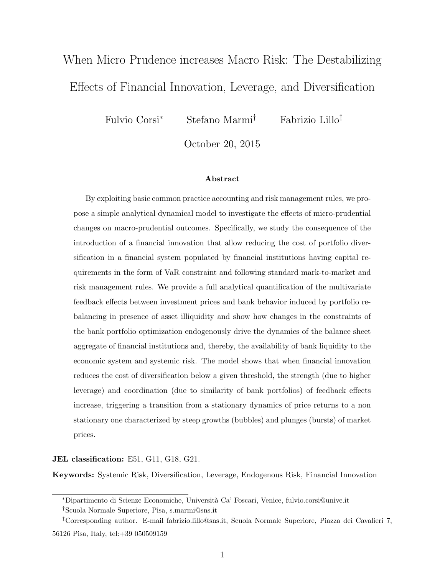# When Micro Prudence increases Macro Risk: The Destabilizing Effects of Financial Innovation, Leverage, and Diversification

Fulvio Corsi<sup>∗</sup> Stefano Marmi† Fabrizio Lillo‡

October 20, 2015

#### Abstract

By exploiting basic common practice accounting and risk management rules, we propose a simple analytical dynamical model to investigate the effects of micro-prudential changes on macro-prudential outcomes. Specifically, we study the consequence of the introduction of a financial innovation that allow reducing the cost of portfolio diversification in a financial system populated by financial institutions having capital requirements in the form of VaR constraint and following standard mark-to-market and risk management rules. We provide a full analytical quantification of the multivariate feedback effects between investment prices and bank behavior induced by portfolio rebalancing in presence of asset illiquidity and show how changes in the constraints of the bank portfolio optimization endogenously drive the dynamics of the balance sheet aggregate of financial institutions and, thereby, the availability of bank liquidity to the economic system and systemic risk. The model shows that when financial innovation reduces the cost of diversification below a given threshold, the strength (due to higher leverage) and coordination (due to similarity of bank portfolios) of feedback effects increase, triggering a transition from a stationary dynamics of price returns to a non stationary one characterized by steep growths (bubbles) and plunges (bursts) of market prices.

JEL classification: E51, G11, G18, G21.

Keywords: Systemic Risk, Diversification, Leverage, Endogenous Risk, Financial Innovation

<sup>∗</sup>Dipartimento di Scienze Economiche, Universit`a Ca' Foscari, Venice, fulvio.corsi@unive.it †Scuola Normale Superiore, Pisa, s.marmi@sns.it

<sup>‡</sup>Corresponding author. E-mail fabrizio.lillo@sns.it, Scuola Normale Superiore, Piazza dei Cavalieri 7, 56126 Pisa, Italy, tel:+39 050509159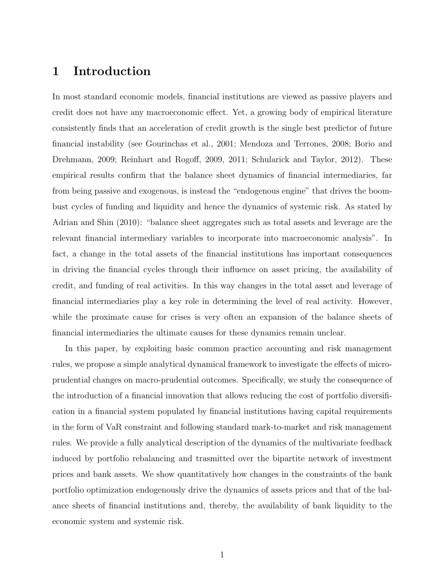## 1 Introduction

In most standard economic models, financial institutions are viewed as passive players and credit does not have any macroeconomic effect. Yet, a growing body of empirical literature consistently finds that an acceleration of credit growth is the single best predictor of future financial instability (see Gourinchas et al., 2001; Mendoza and Terrones, 2008; Borio and Drehmann, 2009; Reinhart and Rogoff, 2009, 2011; Schularick and Taylor, 2012). These empirical results confirm that the balance sheet dynamics of financial intermediaries, far from being passive and exogenous, is instead the "endogenous engine" that drives the boombust cycles of funding and liquidity and hence the dynamics of systemic risk. As stated by Adrian and Shin (2010): "balance sheet aggregates such as total assets and leverage are the relevant financial intermediary variables to incorporate into macroeconomic analysis". In fact, a change in the total assets of the financial institutions has important consequences in driving the financial cycles through their influence on asset pricing, the availability of credit, and funding of real activities. In this way changes in the total asset and leverage of financial intermediaries play a key role in determining the level of real activity. However, while the proximate cause for crises is very often an expansion of the balance sheets of financial intermediaries the ultimate causes for these dynamics remain unclear.

In this paper, by exploiting basic common practice accounting and risk management rules, we propose a simple analytical dynamical framework to investigate the effects of microprudential changes on macro-prudential outcomes. Specifically, we study the consequence of the introduction of a financial innovation that allows reducing the cost of portfolio diversification in a financial system populated by financial institutions having capital requirements in the form of VaR constraint and following standard mark-to-market and risk management rules. We provide a fully analytical description of the dynamics of the multivariate feedback induced by portfolio rebalancing and trasmitted over the bipartite network of investment prices and bank assets. We show quantitatively how changes in the constraints of the bank portfolio optimization endogenously drive the dynamics of assets prices and that of the balance sheets of financial institutions and, thereby, the availability of bank liquidity to the economic system and systemic risk.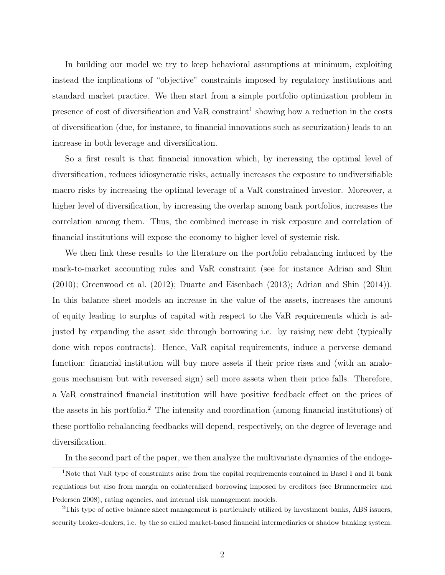In building our model we try to keep behavioral assumptions at minimum, exploiting instead the implications of "objective" constraints imposed by regulatory institutions and standard market practice. We then start from a simple portfolio optimization problem in presence of cost of diversification and  $VaR$  constraint<sup>1</sup> showing how a reduction in the costs of diversification (due, for instance, to financial innovations such as securization) leads to an increase in both leverage and diversification.

So a first result is that financial innovation which, by increasing the optimal level of diversification, reduces idiosyncratic risks, actually increases the exposure to undiversifiable macro risks by increasing the optimal leverage of a VaR constrained investor. Moreover, a higher level of diversification, by increasing the overlap among bank portfolios, increases the correlation among them. Thus, the combined increase in risk exposure and correlation of financial institutions will expose the economy to higher level of systemic risk.

We then link these results to the literature on the portfolio rebalancing induced by the mark-to-market accounting rules and VaR constraint (see for instance Adrian and Shin (2010); Greenwood et al. (2012); Duarte and Eisenbach (2013); Adrian and Shin (2014)). In this balance sheet models an increase in the value of the assets, increases the amount of equity leading to surplus of capital with respect to the VaR requirements which is adjusted by expanding the asset side through borrowing i.e. by raising new debt (typically done with repos contracts). Hence, VaR capital requirements, induce a perverse demand function: financial institution will buy more assets if their price rises and (with an analogous mechanism but with reversed sign) sell more assets when their price falls. Therefore, a VaR constrained financial institution will have positive feedback effect on the prices of the assets in his portfolio.<sup>2</sup> The intensity and coordination (among financial institutions) of these portfolio rebalancing feedbacks will depend, respectively, on the degree of leverage and diversification.

In the second part of the paper, we then analyze the multivariate dynamics of the endoge-

<sup>1</sup>Note that VaR type of constraints arise from the capital requirements contained in Basel I and II bank regulations but also from margin on collateralized borrowing imposed by creditors (see Brunnermeier and Pedersen 2008), rating agencies, and internal risk management models.

<sup>2</sup>This type of active balance sheet management is particularly utilized by investment banks, ABS issuers, security broker-dealers, i.e. by the so called market-based financial intermediaries or shadow banking system.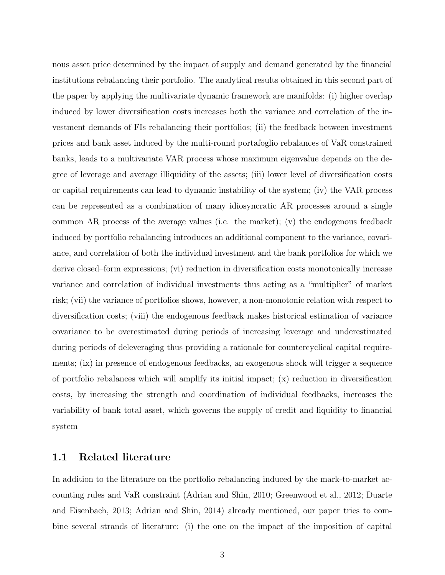nous asset price determined by the impact of supply and demand generated by the financial institutions rebalancing their portfolio. The analytical results obtained in this second part of the paper by applying the multivariate dynamic framework are manifolds: (i) higher overlap induced by lower diversification costs increases both the variance and correlation of the investment demands of FIs rebalancing their portfolios; (ii) the feedback between investment prices and bank asset induced by the multi-round portafoglio rebalances of VaR constrained banks, leads to a multivariate VAR process whose maximum eigenvalue depends on the degree of leverage and average illiquidity of the assets; (iii) lower level of diversification costs or capital requirements can lead to dynamic instability of the system; (iv) the VAR process can be represented as a combination of many idiosyncratic AR processes around a single common AR process of the average values (i.e. the market); (v) the endogenous feedback induced by portfolio rebalancing introduces an additional component to the variance, covariance, and correlation of both the individual investment and the bank portfolios for which we derive closed–form expressions; (vi) reduction in diversification costs monotonically increase variance and correlation of individual investments thus acting as a "multiplier" of market risk; (vii) the variance of portfolios shows, however, a non-monotonic relation with respect to diversification costs; (viii) the endogenous feedback makes historical estimation of variance covariance to be overestimated during periods of increasing leverage and underestimated during periods of deleveraging thus providing a rationale for countercyclical capital requirements; (ix) in presence of endogenous feedbacks, an exogenous shock will trigger a sequence of portfolio rebalances which will amplify its initial impact; (x) reduction in diversification costs, by increasing the strength and coordination of individual feedbacks, increases the variability of bank total asset, which governs the supply of credit and liquidity to financial system

#### 1.1 Related literature

In addition to the literature on the portfolio rebalancing induced by the mark-to-market accounting rules and VaR constraint (Adrian and Shin, 2010; Greenwood et al., 2012; Duarte and Eisenbach, 2013; Adrian and Shin, 2014) already mentioned, our paper tries to combine several strands of literature: (i) the one on the impact of the imposition of capital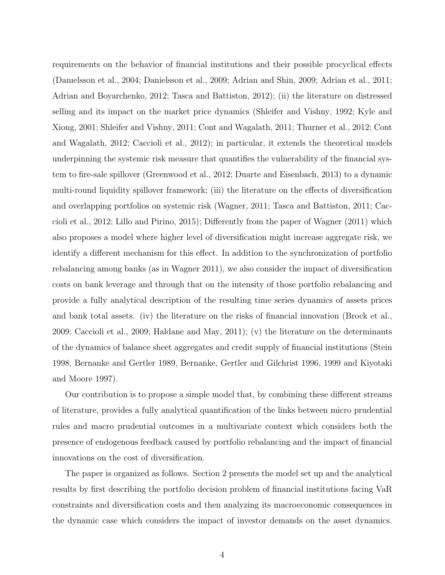requirements on the behavior of financial institutions and their possible procyclical effects (Danıelsson et al., 2004; Danielsson et al., 2009; Adrian and Shin, 2009; Adrian et al., 2011; Adrian and Boyarchenko, 2012; Tasca and Battiston, 2012); (ii) the literature on distressed selling and its impact on the market price dynamics (Shleifer and Vishny, 1992; Kyle and Xiong, 2001; Shleifer and Vishny, 2011; Cont and Wagalath, 2011; Thurner et al., 2012; Cont and Wagalath, 2012; Caccioli et al., 2012); in particular, it extends the theoretical models underpinning the systemic risk measure that quantifies the vulnerability of the financial system to fire-sale spillover (Greenwood et al., 2012; Duarte and Eisenbach, 2013) to a dynamic multi-round liquidity spillover framework; (iii) the literature on the effects of diversification and overlapping portfolios on systemic risk (Wagner, 2011; Tasca and Battiston, 2011; Caccioli et al., 2012; Lillo and Pirino, 2015); Differently from the paper of Wagner (2011) which also proposes a model where higher level of diversification might increase aggregate risk, we identify a different mechanism for this effect. In addition to the synchronization of portfolio rebalancing among banks (as in Wagner 2011), we also consider the impact of diversification costs on bank leverage and through that on the intensity of those portfolio rebalancing and provide a fully analytical description of the resulting time series dynamics of assets prices and bank total assets. (iv) the literature on the risks of financial innovation (Brock et al., 2009; Caccioli et al., 2009; Haldane and May, 2011); (v) the literature on the determinants of the dynamics of balance sheet aggregates and credit supply of financial institutions (Stein 1998, Bernanke and Gertler 1989, Bernanke, Gertler and Gilchrist 1996, 1999 and Kiyotaki and Moore 1997).

Our contribution is to propose a simple model that, by combining these different streams of literature, provides a fully analytical quantification of the links between micro prudential rules and macro prudential outcomes in a multivariate context which considers both the presence of endogenous feedback caused by portfolio rebalancing and the impact of financial innovations on the cost of diversification.

The paper is organized as follows. Section 2 presents the model set up and the analytical results by first describing the portfolio decision problem of financial institutions facing VaR constraints and diversification costs and then analyzing its macroeconomic consequences in the dynamic case which considers the impact of investor demands on the asset dynamics.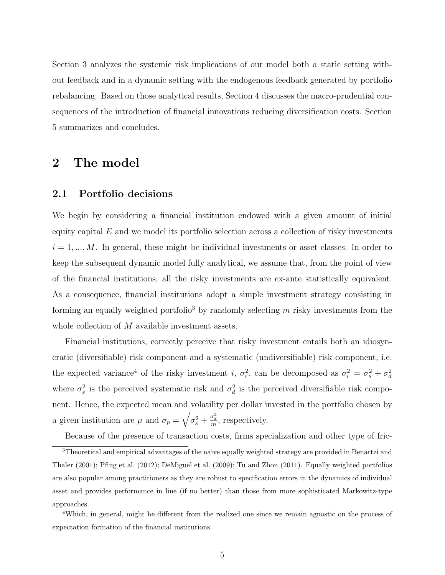Section 3 analyzes the systemic risk implications of our model both a static setting without feedback and in a dynamic setting with the endogenous feedback generated by portfolio rebalancing. Based on those analytical results, Section 4 discusses the macro-prudential consequences of the introduction of financial innovations reducing diversification costs. Section 5 summarizes and concludes.

## 2 The model

#### 2.1 Portfolio decisions

We begin by considering a financial institution endowed with a given amount of initial equity capital  $E$  and we model its portfolio selection across a collection of risky investments  $i = 1, ..., M$ . In general, these might be individual investments or asset classes. In order to keep the subsequent dynamic model fully analytical, we assume that, from the point of view of the financial institutions, all the risky investments are ex-ante statistically equivalent. As a consequence, financial institutions adopt a simple investment strategy consisting in forming an equally weighted portfolio<sup>3</sup> by randomly selecting  $m$  risky investments from the whole collection of M available investment assets.

Financial institutions, correctly perceive that risky investment entails both an idiosyncratic (diversifiable) risk component and a systematic (undiversifiable) risk component, i.e. the expected variance<sup>4</sup> of the risky investment *i*,  $\sigma_i^2$ , can be decomposed as  $\sigma_i^2 = \sigma_s^2 + \sigma_d^2$ where  $\sigma_s^2$  is the perceived systematic risk and  $\sigma_d^2$  is the perceived diversifiable risk component. Hence, the expected mean and volatility per dollar invested in the portfolio chosen by a given institution are  $\mu$  and  $\sigma_p = \sqrt{\sigma_s^2 + \frac{\sigma_d^2}{m}}$ , respectively.

Because of the presence of transaction costs, firms specialization and other type of fric-

<sup>&</sup>lt;sup>3</sup>Theoretical and empirical advantages of the naive equally weighted strategy are provided in Benartzi and Thaler (2001); Pflug et al. (2012); DeMiguel et al. (2009); Tu and Zhou (2011). Equally weighted portfolios are also popular among practitioners as they are robust to specification errors in the dynamics of individual asset and provides performance in line (if no better) than those from more sophisticated Markowitz-type approaches.

<sup>4</sup>Which, in general, might be different from the realized one since we remain agnostic on the process of expectation formation of the financial institutions.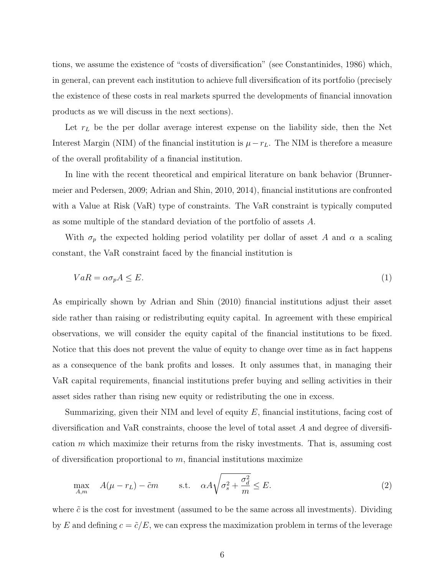tions, we assume the existence of "costs of diversification" (see Constantinides, 1986) which, in general, can prevent each institution to achieve full diversification of its portfolio (precisely the existence of these costs in real markets spurred the developments of financial innovation products as we will discuss in the next sections).

Let  $r<sub>L</sub>$  be the per dollar average interest expense on the liability side, then the Net Interest Margin (NIM) of the financial institution is  $\mu-r_L$ . The NIM is therefore a measure of the overall profitability of a financial institution.

In line with the recent theoretical and empirical literature on bank behavior (Brunnermeier and Pedersen, 2009; Adrian and Shin, 2010, 2014), financial institutions are confronted with a Value at Risk (VaR) type of constraints. The VaR constraint is typically computed as some multiple of the standard deviation of the portfolio of assets A.

With  $\sigma_p$  the expected holding period volatility per dollar of asset A and  $\alpha$  a scaling constant, the VaR constraint faced by the financial institution is

$$
VaR = \alpha \sigma_p A \le E. \tag{1}
$$

As empirically shown by Adrian and Shin (2010) financial institutions adjust their asset side rather than raising or redistributing equity capital. In agreement with these empirical observations, we will consider the equity capital of the financial institutions to be fixed. Notice that this does not prevent the value of equity to change over time as in fact happens as a consequence of the bank profits and losses. It only assumes that, in managing their VaR capital requirements, financial institutions prefer buying and selling activities in their asset sides rather than rising new equity or redistributing the one in excess.

Summarizing, given their NIM and level of equity  $E$ , financial institutions, facing cost of diversification and VaR constraints, choose the level of total asset A and degree of diversification  $m$  which maximize their returns from the risky investments. That is, assuming cost of diversification proportional to  $m$ , financial institutions maximize

$$
\max_{A,m} \quad A(\mu - r_L) - \tilde{c}m \qquad \text{s.t.} \quad \alpha A \sqrt{\sigma_s^2 + \frac{\sigma_d^2}{m}} \le E. \tag{2}
$$

where  $\tilde{c}$  is the cost for investment (assumed to be the same across all investments). Dividing by E and defining  $c = \tilde{c}/E$ , we can express the maximization problem in terms of the leverage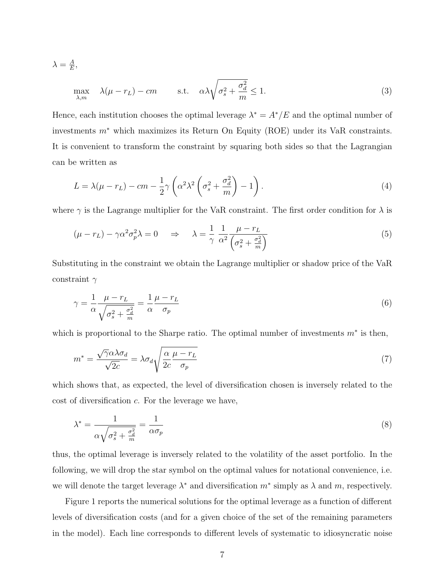$$
\lambda=\tfrac{A}{E},
$$

$$
\max_{\lambda,m} \quad \lambda(\mu - r_L) - cm \qquad \text{s.t.} \quad \alpha \lambda \sqrt{\sigma_s^2 + \frac{\sigma_d^2}{m}} \le 1. \tag{3}
$$

Hence, each institution chooses the optimal leverage  $\lambda^* = A^*/E$  and the optimal number of investments m<sup>∗</sup> which maximizes its Return On Equity (ROE) under its VaR constraints. It is convenient to transform the constraint by squaring both sides so that the Lagrangian can be written as

$$
L = \lambda(\mu - r_L) - cm - \frac{1}{2}\gamma \left(\alpha^2 \lambda^2 \left(\sigma_s^2 + \frac{\sigma_d^2}{m}\right) - 1\right).
$$
\n(4)

where  $\gamma$  is the Lagrange multiplier for the VaR constraint. The first order condition for  $\lambda$  is

$$
(\mu - r_L) - \gamma \alpha^2 \sigma_p^2 \lambda = 0 \quad \Rightarrow \quad \lambda = \frac{1}{\gamma} \frac{1}{\alpha^2} \frac{\mu - r_L}{\left(\sigma_s^2 + \frac{\sigma_d^2}{m}\right)} \tag{5}
$$

Substituting in the constraint we obtain the Lagrange multiplier or shadow price of the VaR constraint  $\gamma$ 

$$
\gamma = \frac{1}{\alpha} \frac{\mu - r_L}{\sqrt{\sigma_s^2 + \frac{\sigma_d^2}{m}}} = \frac{1}{\alpha} \frac{\mu - r_L}{\sigma_p} \tag{6}
$$

which is proportional to the Sharpe ratio. The optimal number of investments  $m^*$  is then,

$$
m^* = \frac{\sqrt{\gamma}\alpha\lambda\sigma_d}{\sqrt{2c}} = \lambda\sigma_d\sqrt{\frac{\alpha}{2c}\frac{\mu - r_L}{\sigma_p}}
$$
\n<sup>(7)</sup>

which shows that, as expected, the level of diversification chosen is inversely related to the cost of diversification c. For the leverage we have,

$$
\lambda^* = \frac{1}{\alpha \sqrt{\sigma_s^2 + \frac{\sigma_d^2}{m}}} = \frac{1}{\alpha \sigma_p} \tag{8}
$$

thus, the optimal leverage is inversely related to the volatility of the asset portfolio. In the following, we will drop the star symbol on the optimal values for notational convenience, i.e. we will denote the target leverage  $\lambda^*$  and diversification  $m^*$  simply as  $\lambda$  and  $m$ , respectively.

Figure 1 reports the numerical solutions for the optimal leverage as a function of different levels of diversification costs (and for a given choice of the set of the remaining parameters in the model). Each line corresponds to different levels of systematic to idiosyncratic noise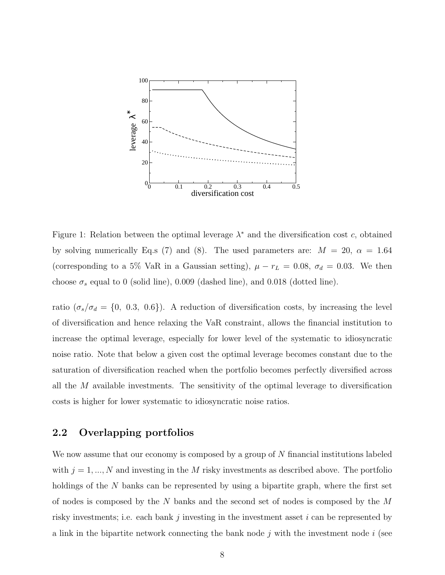

Figure 1: Relation between the optimal leverage  $\lambda^*$  and the diversification cost c, obtained by solving numerically Eq.s (7) and (8). The used parameters are:  $M = 20$ ,  $\alpha = 1.64$ (corresponding to a 5% VaR in a Gaussian setting),  $\mu - r_L = 0.08$ ,  $\sigma_d = 0.03$ . We then choose  $\sigma_s$  equal to 0 (solid line), 0.009 (dashed line), and 0.018 (dotted line).

ratio  $(\sigma_s/\sigma_d = \{0, 0.3, 0.6\})$ . A reduction of diversification costs, by increasing the level of diversification and hence relaxing the VaR constraint, allows the financial institution to increase the optimal leverage, especially for lower level of the systematic to idiosyncratic noise ratio. Note that below a given cost the optimal leverage becomes constant due to the saturation of diversification reached when the portfolio becomes perfectly diversified across all the  $M$  available investments. The sensitivity of the optimal leverage to diversification costs is higher for lower systematic to idiosyncratic noise ratios.

### 2.2 Overlapping portfolios

We now assume that our economy is composed by a group of N financial institutions labeled with  $j = 1, ..., N$  and investing in the M risky investments as described above. The portfolio holdings of the  $N$  banks can be represented by using a bipartite graph, where the first set of nodes is composed by the  $N$  banks and the second set of nodes is composed by the  $M$ risky investments; i.e. each bank  $j$  investing in the investment asset  $i$  can be represented by a link in the bipartite network connecting the bank node  $j$  with the investment node  $i$  (see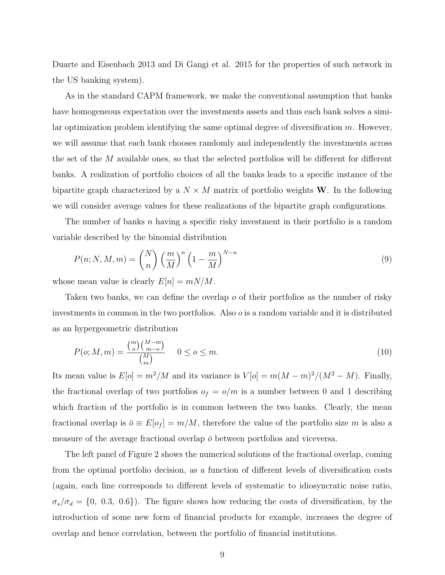Duarte and Eisenbach 2013 and Di Gangi et al. 2015 for the properties of such network in the US banking system).

As in the standard CAPM framework, we make the conventional assumption that banks have homogeneous expectation over the investments assets and thus each bank solves a similar optimization problem identifying the same optimal degree of diversification  $m$ . However, we will assume that each bank chooses randomly and independently the investments across the set of the  $M$  available ones, so that the selected portfolios will be different for different banks. A realization of portfolio choices of all the banks leads to a specific instance of the bipartite graph characterized by a  $N \times M$  matrix of portfolio weights W. In the following we will consider average values for these realizations of the bipartite graph configurations.

The number of banks n having a specific risky investment in their portfolio is a random variable described by the binomial distribution

$$
P(n; N, M, m) = {N \choose n} \left(\frac{m}{M}\right)^n \left(1 - \frac{m}{M}\right)^{N-n}
$$
\n(9)

whose mean value is clearly  $E[n] = mN/M$ .

Taken two banks, we can define the overlap  $\sigma$  of their portfolios as the number of risky investments in common in the two portfolios. Also o is a random variable and it is distributed as an hypergeometric distribution

$$
P(o; M, m) = \frac{\binom{m}{o} \binom{M-m}{m-o}}{\binom{M}{m}} \quad 0 \le o \le m.
$$
\n(10)

Its mean value is  $E[\rho] = m^2/M$  and its variance is  $V[\rho] = m(M-m)^2/(M^2-M)$ . Finally, the fractional overlap of two portfolios  $o_f = o/m$  is a number between 0 and 1 describing which fraction of the portfolio is in common between the two banks. Clearly, the mean fractional overlap is  $\bar{o} \equiv E[o_f] = m/M$ , therefore the value of the portfolio size m is also a measure of the average fractional overlap  $\bar{o}$  between portfolios and viceversa.

The left panel of Figure 2 shows the numerical solutions of the fractional overlap, coming from the optimal portfolio decision, as a function of different levels of diversification costs (again, each line corresponds to different levels of systematic to idiosyncratic noise ratio,  $\sigma_s/\sigma_d = \{0, 0.3, 0.6\}$ . The figure shows how reducing the costs of diversification, by the introduction of some new form of financial products for example, increases the degree of overlap and hence correlation, between the portfolio of financial institutions.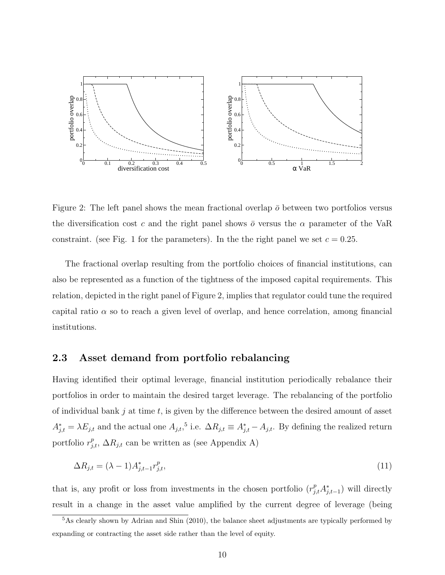

Figure 2: The left panel shows the mean fractional overlap  $\bar{o}$  between two portfolios versus the diversification cost c and the right panel shows  $\bar{o}$  versus the  $\alpha$  parameter of the VaR constraint. (see Fig. 1 for the parameters). In the the right panel we set  $c = 0.25$ .

The fractional overlap resulting from the portfolio choices of financial institutions, can also be represented as a function of the tightness of the imposed capital requirements. This relation, depicted in the right panel of Figure 2, implies that regulator could tune the required capital ratio  $\alpha$  so to reach a given level of overlap, and hence correlation, among financial institutions.

#### 2.3 Asset demand from portfolio rebalancing

Having identified their optimal leverage, financial institution periodically rebalance their portfolios in order to maintain the desired target leverage. The rebalancing of the portfolio of individual bank  $j$  at time  $t$ , is given by the difference between the desired amount of asset  $A_{j,t}^* = \lambda E_{j,t}$  and the actual one  $A_{j,t}$ ,<sup>5</sup> i.e.  $\Delta R_{j,t} \equiv A_{j,t}^* - A_{j,t}$ . By defining the realized return portfolio  $r_{j,t}^p$ ,  $\Delta R_{j,t}$  can be written as (see Appendix A)

$$
\Delta R_{j,t} = (\lambda - 1)A_{j,t-1}^* r_{j,t}^p,\tag{11}
$$

that is, any profit or loss from investments in the chosen portfolio  $(r_{j,t}^p A_{j,t-1}^*)$  will directly result in a change in the asset value amplified by the current degree of leverage (being

<sup>&</sup>lt;sup>5</sup>As clearly shown by Adrian and Shin (2010), the balance sheet adjustments are typically performed by expanding or contracting the asset side rather than the level of equity.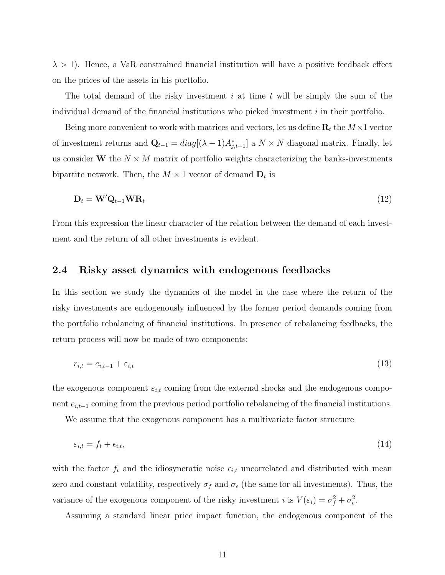$\lambda > 1$ . Hence, a VaR constrained financial institution will have a positive feedback effect on the prices of the assets in his portfolio.

The total demand of the risky investment  $i$  at time  $t$  will be simply the sum of the individual demand of the financial institutions who picked investment i in their portfolio.

Being more convenient to work with matrices and vectors, let us define  $\mathbf{R}_t$  the  $M \times 1$  vector of investment returns and  $\mathbf{Q}_{t-1} = diag[(\lambda - 1)A_{j,t-1}^*]$  a  $N \times N$  diagonal matrix. Finally, let us consider W the  $N \times M$  matrix of portfolio weights characterizing the banks-investments bipartite network. Then, the  $M \times 1$  vector of demand  $D_t$  is

$$
\mathbf{D}_t = \mathbf{W}' \mathbf{Q}_{t-1} \mathbf{W} \mathbf{R}_t \tag{12}
$$

From this expression the linear character of the relation between the demand of each investment and the return of all other investments is evident.

#### 2.4 Risky asset dynamics with endogenous feedbacks

In this section we study the dynamics of the model in the case where the return of the risky investments are endogenously influenced by the former period demands coming from the portfolio rebalancing of financial institutions. In presence of rebalancing feedbacks, the return process will now be made of two components:

$$
r_{i,t} = e_{i,t-1} + \varepsilon_{i,t} \tag{13}
$$

the exogenous component  $\varepsilon_{i,t}$  coming from the external shocks and the endogenous component  $e_{i,t-1}$  coming from the previous period portfolio rebalancing of the financial institutions.

We assume that the exogenous component has a multivariate factor structure

$$
\varepsilon_{i,t} = f_t + \epsilon_{i,t},\tag{14}
$$

with the factor  $f_t$  and the idiosyncratic noise  $\epsilon_{i,t}$  uncorrelated and distributed with mean zero and constant volatility, respectively  $\sigma_f$  and  $\sigma_{\epsilon}$  (the same for all investments). Thus, the variance of the exogenous component of the risky investment i is  $V(\varepsilon_i) = \sigma_f^2 + \sigma_{\epsilon}^2$ .

Assuming a standard linear price impact function, the endogenous component of the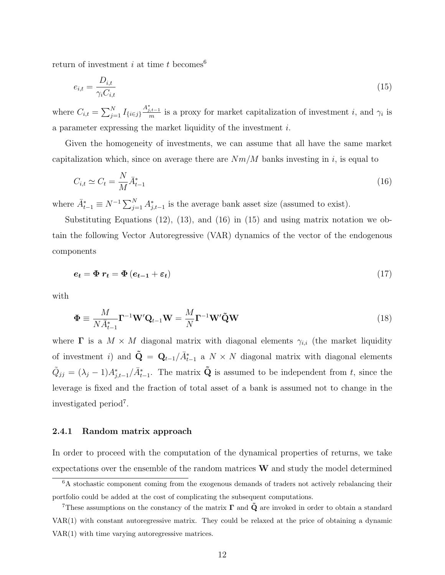return of investment i at time t becomes  $6$ 

$$
e_{i,t} = \frac{D_{i,t}}{\gamma_i C_{i,t}}\tag{15}
$$

where  $C_{i,t} = \sum_{j=1}^{N} I_{\{i \in j\}} \frac{A_{j,t-1}^*}{m}$  is a proxy for market capitalization of investment i, and  $\gamma_i$  is a parameter expressing the market liquidity of the investment i.

Given the homogeneity of investments, we can assume that all have the same market capitalization which, since on average there are  $Nm/M$  banks investing in i, is equal to

$$
C_{i,t} \simeq C_t = \frac{N}{M} \bar{A}_{t-1}^*
$$
\n(16)

where  $\bar{A}_{t-1}^* \equiv N^{-1} \sum_{j=1}^N A_{j,t-1}^*$  is the average bank asset size (assumed to exist).

Substituting Equations (12), (13), and (16) in (15) and using matrix notation we obtain the following Vector Autoregressive (VAR) dynamics of the vector of the endogenous components

$$
e_t = \Phi r_t = \Phi (e_{t-1} + \varepsilon_t) \tag{17}
$$

with

$$
\Phi \equiv \frac{M}{N\bar{A}_{t-1}^*} \Gamma^{-1} \mathbf{W}' \mathbf{Q}_{t-1} \mathbf{W} = \frac{M}{N} \Gamma^{-1} \mathbf{W}' \tilde{\mathbf{Q}} \mathbf{W}
$$
(18)

where  $\Gamma$  is a  $M \times M$  diagonal matrix with diagonal elements  $\gamma_{i,i}$  (the market liquidity of investment i) and  $\tilde{Q} = Q_{t-1}/\bar{A}_{t-1}^*$  a  $N \times N$  diagonal matrix with diagonal elements  $\tilde{Q}_{jj} = (\lambda_j - 1)A_{j,t-1}^*/\bar{A}_{t-1}^*$ . The matrix  $\tilde{Q}$  is assumed to be independent from t, since the leverage is fixed and the fraction of total asset of a bank is assumed not to change in the investigated period<sup>7</sup> .

#### 2.4.1 Random matrix approach

In order to proceed with the computation of the dynamical properties of returns, we take expectations over the ensemble of the random matrices  $W$  and study the model determined

 ${}^{6}$ A stochastic component coming from the exogenous demands of traders not actively rebalancing their portfolio could be added at the cost of complicating the subsequent computations.

These assumptions on the constancy of the matrix  $\Gamma$  and  $\dot{Q}$  are invoked in order to obtain a standard VAR(1) with constant autoregressive matrix. They could be relaxed at the price of obtaining a dynamic VAR(1) with time varying autoregressive matrices.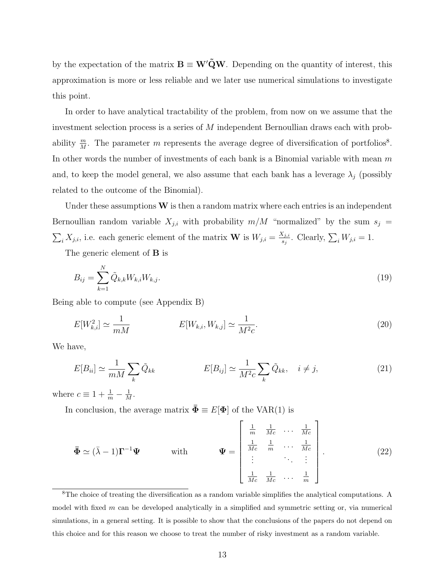by the expectation of the matrix  $B \equiv W' \tilde{Q} W$ . Depending on the quantity of interest, this approximation is more or less reliable and we later use numerical simulations to investigate this point.

In order to have analytical tractability of the problem, from now on we assume that the investment selection process is a series of M independent Bernoullian draws each with probability  $\frac{m}{M}$ . The parameter m represents the average degree of diversification of portfolios<sup>8</sup>. In other words the number of investments of each bank is a Binomial variable with mean  $m$ and, to keep the model general, we also assume that each bank has a leverage  $\lambda_j$  (possibly related to the outcome of the Binomial).

Under these assumptions  $W$  is then a random matrix where each entries is an independent Bernoullian random variable  $X_{j,i}$  with probability  $m/M$  "normalized" by the sum  $s_j =$  $\sum_i X_{j,i}$ , i.e. each generic element of the matrix **W** is  $W_{j,i} = \frac{X_{j,i}}{s_i}$  $S_{s_j}^{i,j}$ . Clearly,  $\sum_i W_{j,i} = 1$ .

The generic element of **B** is

$$
B_{ij} = \sum_{k=1}^{N} \tilde{Q}_{k,k} W_{k,i} W_{k,j}.
$$
\n(19)

Being able to compute (see Appendix B)

$$
E[W_{k,i}^2] \simeq \frac{1}{mM} \qquad E[W_{k,i}, W_{k,j}] \simeq \frac{1}{M^2 c}.
$$
\n(20)

We have,

$$
E[B_{ii}] \simeq \frac{1}{mM} \sum_{k} \tilde{Q}_{kk} \qquad E[B_{ij}] \simeq \frac{1}{M^2 c} \sum_{k} \tilde{Q}_{kk}, \quad i \neq j,
$$
 (21)

where  $c \equiv 1 + \frac{1}{m} - \frac{1}{M}$  $\frac{1}{M}$ .

In conclusion, the average matrix  $\bar{\mathbf{\Phi}} \equiv E[\mathbf{\Phi}]$  of the VAR(1) is

$$
\bar{\Phi} \simeq (\bar{\lambda} - 1)\mathbf{\Gamma}^{-1}\Psi \qquad \text{with} \qquad \Psi = \begin{bmatrix} \frac{1}{m} & \frac{1}{Mc} & \cdots & \frac{1}{Mc} \\ \frac{1}{Mc} & \frac{1}{m} & \cdots & \frac{1}{Mc} \\ \vdots & \ddots & \vdots \\ \frac{1}{Mc} & \frac{1}{Mc} & \cdots & \frac{1}{m} \end{bmatrix} . \qquad (22)
$$

<sup>8</sup>The choice of treating the diversification as a random variable simplifies the analytical computations. A model with fixed  $m$  can be developed analytically in a simplified and symmetric setting or, via numerical simulations, in a general setting. It is possible to show that the conclusions of the papers do not depend on this choice and for this reason we choose to treat the number of risky investment as a random variable.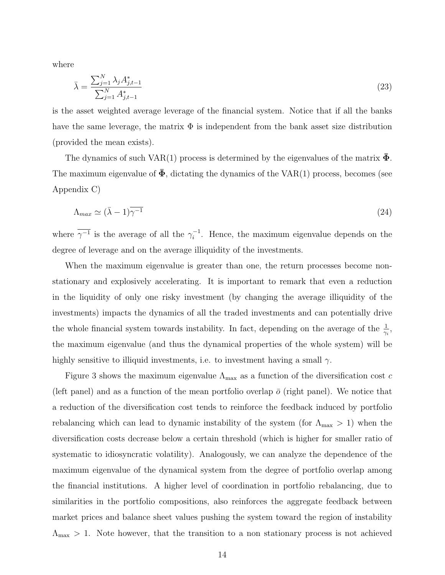where

$$
\bar{\lambda} = \frac{\sum_{j=1}^{N} \lambda_j A_{j,t-1}^*}{\sum_{j=1}^{N} A_{j,t-1}^*}
$$
\n(23)

is the asset weighted average leverage of the financial system. Notice that if all the banks have the same leverage, the matrix  $\Phi$  is independent from the bank asset size distribution (provided the mean exists).

The dynamics of such VAR(1) process is determined by the eigenvalues of the matrix  $\bar{\Phi}$ . The maximum eigenvalue of  $\bar{\Phi}$ , dictating the dynamics of the VAR(1) process, becomes (see Appendix C)

$$
\Lambda_{\text{max}} \simeq (\bar{\lambda} - 1)\overline{\gamma^{-1}} \tag{24}
$$

where  $\overline{\gamma^{-1}}$  is the average of all the  $\gamma_i^{-1}$  $i^{-1}$ . Hence, the maximum eigenvalue depends on the degree of leverage and on the average illiquidity of the investments.

When the maximum eigenvalue is greater than one, the return processes become nonstationary and explosively accelerating. It is important to remark that even a reduction in the liquidity of only one risky investment (by changing the average illiquidity of the investments) impacts the dynamics of all the traded investments and can potentially drive the whole financial system towards instability. In fact, depending on the average of the  $\frac{1}{\gamma_i}$ , the maximum eigenvalue (and thus the dynamical properties of the whole system) will be highly sensitive to illiquid investments, i.e. to investment having a small  $\gamma$ .

Figure 3 shows the maximum eigenvalue  $\Lambda_{\text{max}}$  as a function of the diversification cost c (left panel) and as a function of the mean portfolio overlap  $\bar{o}$  (right panel). We notice that a reduction of the diversification cost tends to reinforce the feedback induced by portfolio rebalancing which can lead to dynamic instability of the system (for  $\Lambda_{\text{max}} > 1$ ) when the diversification costs decrease below a certain threshold (which is higher for smaller ratio of systematic to idiosyncratic volatility). Analogously, we can analyze the dependence of the maximum eigenvalue of the dynamical system from the degree of portfolio overlap among the financial institutions. A higher level of coordination in portfolio rebalancing, due to similarities in the portfolio compositions, also reinforces the aggregate feedback between market prices and balance sheet values pushing the system toward the region of instability  $\Lambda_{\text{max}} > 1$ . Note however, that the transition to a non stationary process is not achieved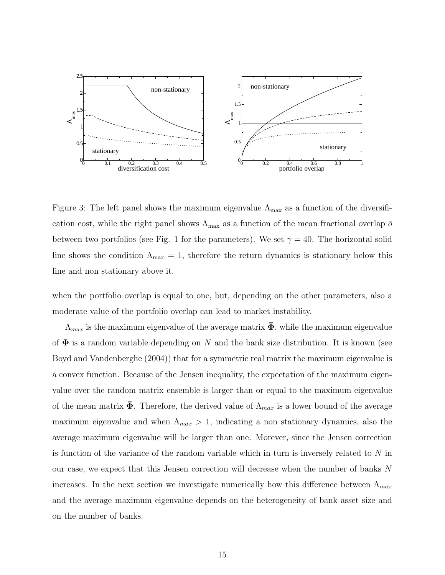

Figure 3: The left panel shows the maximum eigenvalue  $\Lambda_{\text{max}}$  as a function of the diversification cost, while the right panel shows  $\Lambda_{\text{max}}$  as a function of the mean fractional overlap  $\bar{\sigma}$ between two portfolios (see Fig. 1 for the parameters). We set  $\gamma = 40$ . The horizontal solid line shows the condition  $\Lambda_{\text{max}} = 1$ , therefore the return dynamics is stationary below this line and non stationary above it.

when the portfolio overlap is equal to one, but, depending on the other parameters, also a moderate value of the portfolio overlap can lead to market instability.

 $\Lambda_{max}$  is the maximum eigenvalue of the average matrix  $\bar{\Phi}$ , while the maximum eigenvalue of  $\Phi$  is a random variable depending on N and the bank size distribution. It is known (see Boyd and Vandenberghe (2004)) that for a symmetric real matrix the maximum eigenvalue is a convex function. Because of the Jensen inequality, the expectation of the maximum eigenvalue over the random matrix ensemble is larger than or equal to the maximum eigenvalue of the mean matrix  $\bar{\Phi}$ . Therefore, the derived value of  $\Lambda_{max}$  is a lower bound of the average maximum eigenvalue and when  $\Lambda_{max} > 1$ , indicating a non stationary dynamics, also the average maximum eigenvalue will be larger than one. Morever, since the Jensen correction is function of the variance of the random variable which in turn is inversely related to N in our case, we expect that this Jensen correction will decrease when the number of banks N increases. In the next section we investigate numerically how this difference between  $\Lambda_{max}$ and the average maximum eigenvalue depends on the heterogeneity of bank asset size and on the number of banks.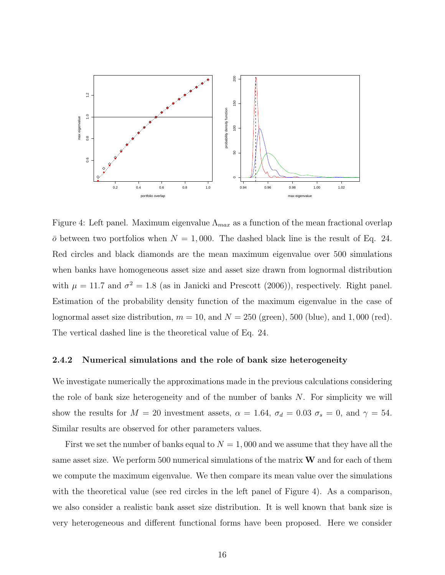

Figure 4: Left panel. Maximum eigenvalue  $\Lambda_{max}$  as a function of the mean fractional overlap  $\bar{\sigma}$  between two portfolios when  $N = 1,000$ . The dashed black line is the result of Eq. 24. Red circles and black diamonds are the mean maximum eigenvalue over 500 simulations when banks have homogeneous asset size and asset size drawn from lognormal distribution with  $\mu = 11.7$  and  $\sigma^2 = 1.8$  (as in Janicki and Prescott (2006)), respectively. Right panel. Estimation of the probability density function of the maximum eigenvalue in the case of lognormal asset size distribution,  $m = 10$ , and  $N = 250$  (green), 500 (blue), and 1,000 (red). The vertical dashed line is the theoretical value of Eq. 24.

#### 2.4.2 Numerical simulations and the role of bank size heterogeneity

We investigate numerically the approximations made in the previous calculations considering the role of bank size heterogeneity and of the number of banks  $N$ . For simplicity we will show the results for  $M = 20$  investment assets,  $\alpha = 1.64$ ,  $\sigma_d = 0.03$   $\sigma_s = 0$ , and  $\gamma = 54$ . Similar results are observed for other parameters values.

First we set the number of banks equal to  $N = 1,000$  and we assume that they have all the same asset size. We perform 500 numerical simulations of the matrix  $W$  and for each of them we compute the maximum eigenvalue. We then compare its mean value over the simulations with the theoretical value (see red circles in the left panel of Figure 4). As a comparison, we also consider a realistic bank asset size distribution. It is well known that bank size is very heterogeneous and different functional forms have been proposed. Here we consider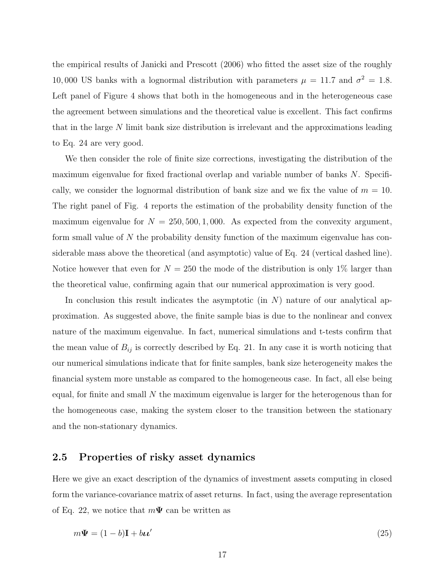the empirical results of Janicki and Prescott (2006) who fitted the asset size of the roughly 10,000 US banks with a lognormal distribution with parameters  $\mu = 11.7$  and  $\sigma^2 = 1.8$ . Left panel of Figure 4 shows that both in the homogeneous and in the heterogeneous case the agreement between simulations and the theoretical value is excellent. This fact confirms that in the large N limit bank size distribution is irrelevant and the approximations leading to Eq. 24 are very good.

We then consider the role of finite size corrections, investigating the distribution of the maximum eigenvalue for fixed fractional overlap and variable number of banks N. Specifically, we consider the lognormal distribution of bank size and we fix the value of  $m = 10$ . The right panel of Fig. 4 reports the estimation of the probability density function of the maximum eigenvalue for  $N = 250, 500, 1,000$ . As expected from the convexity argument, form small value of  $N$  the probability density function of the maximum eigenvalue has considerable mass above the theoretical (and asymptotic) value of Eq. 24 (vertical dashed line). Notice however that even for  $N = 250$  the mode of the distribution is only 1% larger than the theoretical value, confirming again that our numerical approximation is very good.

In conclusion this result indicates the asymptotic (in  $N$ ) nature of our analytical approximation. As suggested above, the finite sample bias is due to the nonlinear and convex nature of the maximum eigenvalue. In fact, numerical simulations and t-tests confirm that the mean value of  $B_{ij}$  is correctly described by Eq. 21. In any case it is worth noticing that our numerical simulations indicate that for finite samples, bank size heterogeneity makes the financial system more unstable as compared to the homogeneous case. In fact, all else being equal, for finite and small  $N$  the maximum eigenvalue is larger for the heterogenous than for the homogeneous case, making the system closer to the transition between the stationary and the non-stationary dynamics.

#### 2.5 Properties of risky asset dynamics

Here we give an exact description of the dynamics of investment assets computing in closed form the variance-covariance matrix of asset returns. In fact, using the average representation of Eq. 22, we notice that  $m\Psi$  can be written as

$$
m\Psi = (1 - b)\mathbf{I} + b\boldsymbol{\iota}\boldsymbol{\iota}' \tag{25}
$$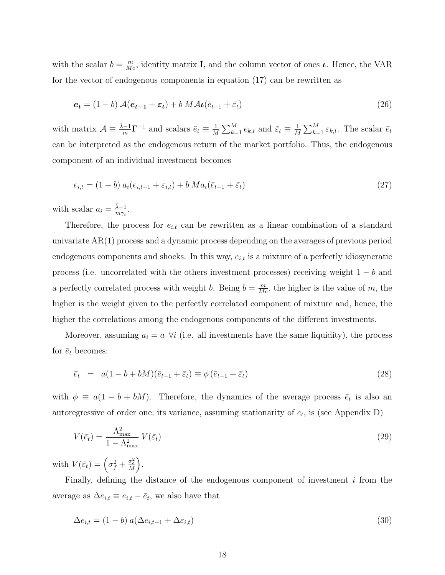with the scalar  $b = \frac{m}{Mc}$ , identity matrix **I**, and the column vector of ones  $\iota$ . Hence, the VAR for the vector of endogenous components in equation (17) can be rewritten as

$$
\boldsymbol{e_t} = (1 - b) \mathcal{A}(\boldsymbol{e_{t-1}} + \boldsymbol{\varepsilon_t}) + b \mathcal{M} \mathcal{A} \boldsymbol{\iota}(\bar{e}_{t-1} + \bar{\varepsilon_t}) \tag{26}
$$

with matrix  $\mathcal{A} \equiv \frac{\bar{\lambda}-1}{m} \Gamma^{-1}$  and scalars  $\bar{e}_t \equiv \frac{1}{M}$  $\frac{1}{M} \sum_{k=1}^{M} e_{k,t}$  and  $\bar{\varepsilon}_t \equiv \frac{1}{M}$  $\frac{1}{M} \sum_{k=1}^{M} \varepsilon_{k,t}$ . The scalar  $\bar{e}_t$ can be interpreted as the endogenous return of the market portfolio. Thus, the endogenous component of an individual investment becomes

$$
e_{i,t} = (1 - b) a_i (e_{i,t-1} + \varepsilon_{i,t}) + b M a_i (\bar{e}_{t-1} + \bar{\varepsilon}_t)
$$
\n(27)

with scalar  $a_i = \frac{\bar{\lambda}-1}{m\gamma_i}$  $\frac{\lambda-1}{m\gamma_i}.$ 

Therefore, the process for  $e_{i,t}$  can be rewritten as a linear combination of a standard univariate AR(1) process and a dynamic process depending on the averages of previous period endogenous components and shocks. In this way,  $e_{i,t}$  is a mixture of a perfectly idiosyncratic process (i.e. uncorrelated with the others investment processes) receiving weight  $1 - b$  and a perfectly correlated process with weight b. Being  $b = \frac{m}{Mc}$ , the higher is the value of m, the higher is the weight given to the perfectly correlated component of mixture and, hence, the higher the correlations among the endogenous components of the different investments.

Moreover, assuming  $a_i = a$   $\forall i$  (i.e. all investments have the same liquidity), the process for  $\bar{e}_t$  becomes:

$$
\bar{e}_t = a(1 - b + bM)(\bar{e}_{t-1} + \bar{\varepsilon}_t) \equiv \phi(\bar{e}_{t-1} + \bar{\varepsilon}_t)
$$
\n(28)

with  $\phi \equiv a(1 - b + bM)$ . Therefore, the dynamics of the average process  $\bar{e}_t$  is also an autoregressive of order one; its variance, assuming stationarity of  $e_t$ , is (see Appendix D)

$$
V(\bar{e_t}) = \frac{\Lambda_{\text{max}}^2}{1 - \Lambda_{\text{max}}^2} V(\bar{\varepsilon}_t)
$$
\n(29)

with  $V(\bar{\varepsilon}_t) = \left(\sigma_f^2 + \frac{\sigma_{\epsilon}^2}{M}\right)$ .

Finally, defining the distance of the endogenous component of investment i from the average as  $\Delta e_{i,t} \equiv e_{i,t} - \bar{e}_t$ , we also have that

$$
\Delta e_{i,t} = (1 - b) a(\Delta e_{i,t-1} + \Delta \varepsilon_{i,t})
$$
\n(30)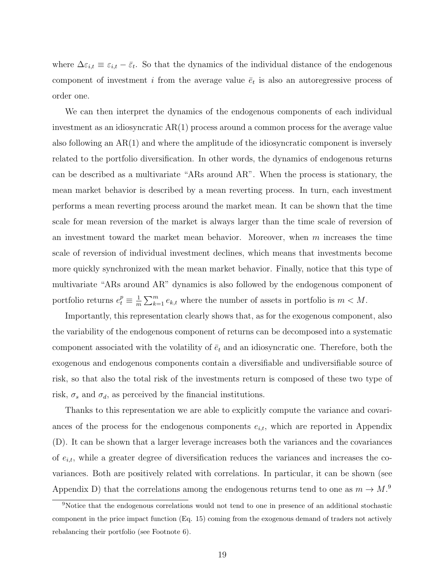where  $\Delta \varepsilon_{i,t} \equiv \varepsilon_{i,t} - \bar{\varepsilon}_t$ . So that the dynamics of the individual distance of the endogenous component of investment *i* from the average value  $\bar{e}_t$  is also an autoregressive process of order one.

We can then interpret the dynamics of the endogenous components of each individual investment as an idiosyncratic  $AR(1)$  process around a common process for the average value also following an  $AR(1)$  and where the amplitude of the idiosyncratic component is inversely related to the portfolio diversification. In other words, the dynamics of endogenous returns can be described as a multivariate "ARs around AR". When the process is stationary, the mean market behavior is described by a mean reverting process. In turn, each investment performs a mean reverting process around the market mean. It can be shown that the time scale for mean reversion of the market is always larger than the time scale of reversion of an investment toward the market mean behavior. Moreover, when  $m$  increases the time scale of reversion of individual investment declines, which means that investments become more quickly synchronized with the mean market behavior. Finally, notice that this type of multivariate "ARs around AR" dynamics is also followed by the endogenous component of portfolio returns  $e_t^p \equiv \frac{1}{m}$  $\frac{1}{m} \sum_{k=1}^{m} e_{k,t}$  where the number of assets in portfolio is  $m < M$ .

Importantly, this representation clearly shows that, as for the exogenous component, also the variability of the endogenous component of returns can be decomposed into a systematic component associated with the volatility of  $\bar{e}_t$  and an idiosyncratic one. Therefore, both the exogenous and endogenous components contain a diversifiable and undiversifiable source of risk, so that also the total risk of the investments return is composed of these two type of risk,  $\sigma_s$  and  $\sigma_d$ , as perceived by the financial institutions.

Thanks to this representation we are able to explicitly compute the variance and covariances of the process for the endogenous components  $e_{i,t}$ , which are reported in Appendix (D). It can be shown that a larger leverage increases both the variances and the covariances of  $e_{i,t}$ , while a greater degree of diversification reduces the variances and increases the covariances. Both are positively related with correlations. In particular, it can be shown (see Appendix D) that the correlations among the endogenous returns tend to one as  $m \to M$ .<sup>9</sup>

<sup>&</sup>lt;sup>9</sup>Notice that the endogenous correlations would not tend to one in presence of an additional stochastic component in the price impact function (Eq. 15) coming from the exogenous demand of traders not actively rebalancing their portfolio (see Footnote 6).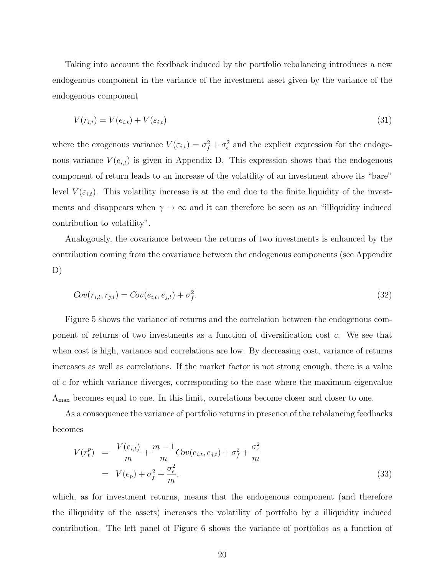Taking into account the feedback induced by the portfolio rebalancing introduces a new endogenous component in the variance of the investment asset given by the variance of the endogenous component

$$
V(r_{i,t}) = V(e_{i,t}) + V(\varepsilon_{i,t})
$$
\n
$$
(31)
$$

where the exogenous variance  $V(\varepsilon_{i,t}) = \sigma_f^2 + \sigma_{\epsilon}^2$  and the explicit expression for the endogenous variance  $V(e_{i,t})$  is given in Appendix D. This expression shows that the endogenous component of return leads to an increase of the volatility of an investment above its "bare" level  $V(\varepsilon_{i,t})$ . This volatility increase is at the end due to the finite liquidity of the investments and disappears when  $\gamma \to \infty$  and it can therefore be seen as an "illiquidity induced contribution to volatility".

Analogously, the covariance between the returns of two investments is enhanced by the contribution coming from the covariance between the endogenous components (see Appendix D)

$$
Cov(r_{i,t}, r_{j,t}) = Cov(e_{i,t}, e_{j,t}) + \sigma_f^2.
$$
\n
$$
(32)
$$

Figure 5 shows the variance of returns and the correlation between the endogenous component of returns of two investments as a function of diversification cost  $c$ . We see that when cost is high, variance and correlations are low. By decreasing cost, variance of returns increases as well as correlations. If the market factor is not strong enough, there is a value of c for which variance diverges, corresponding to the case where the maximum eigenvalue  $\Lambda_{\text{max}}$  becomes equal to one. In this limit, correlations become closer and closer to one.

As a consequence the variance of portfolio returns in presence of the rebalancing feedbacks becomes

$$
V(r_t^p) = \frac{V(e_{i,t})}{m} + \frac{m-1}{m}Cov(e_{i,t}, e_{j,t}) + \sigma_f^2 + \frac{\sigma_\epsilon^2}{m}
$$
  
=  $V(e_p) + \sigma_f^2 + \frac{\sigma_\epsilon^2}{m}$ , (33)

which, as for investment returns, means that the endogenous component (and therefore the illiquidity of the assets) increases the volatility of portfolio by a illiquidity induced contribution. The left panel of Figure 6 shows the variance of portfolios as a function of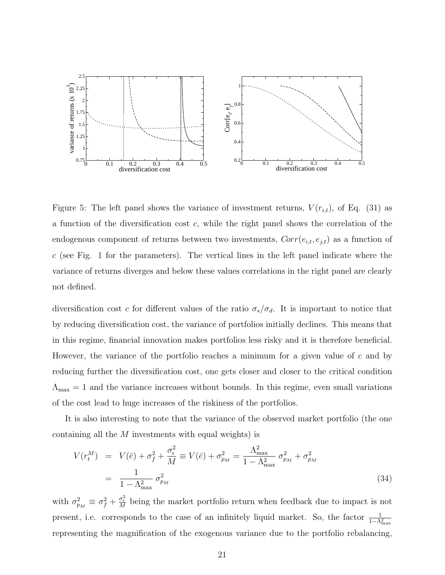

Figure 5: The left panel shows the variance of investment returns,  $V(r_{i,t})$ , of Eq. (31) as a function of the diversification cost c, while the right panel shows the correlation of the endogenous component of returns between two investments,  $Corr(e_{i,t}, e_{j,t})$  as a function of  $c$  (see Fig. 1 for the parameters). The vertical lines in the left panel indicate where the variance of returns diverges and below these values correlations in the right panel are clearly not defined.

diversification cost c for different values of the ratio  $\sigma_s/\sigma_d$ . It is important to notice that by reducing diversification cost, the variance of portfolios initially declines. This means that in this regime, financial innovation makes portfolios less risky and it is therefore beneficial. However, the variance of the portfolio reaches a minimum for a given value of c and by reducing further the diversification cost, one gets closer and closer to the critical condition  $\Lambda_{\text{max}} = 1$  and the variance increases without bounds. In this regime, even small variations of the cost lead to huge increases of the riskiness of the portfolios.

It is also interesting to note that the variance of the observed market portfolio (the one containing all the  $M$  investments with equal weights) is

$$
V(r_t^M) = V(\bar{e}) + \sigma_f^2 + \frac{\sigma_{\epsilon}^2}{M} \equiv V(\bar{e}) + \sigma_{p_M}^2 = \frac{\Lambda_{\text{max}}^2}{1 - \Lambda_{\text{max}}^2} \sigma_{p_M}^2 + \sigma_{p_M}^2
$$
  
= 
$$
\frac{1}{1 - \Lambda_{\text{max}}^2} \sigma_{p_M}^2
$$
 (34)

with  $\sigma_{p_M}^2 \equiv \sigma_f^2 + \frac{\sigma_{\epsilon}^2}{M}$  being the market portfolio return when feedback due to impact is not present, i.e. corresponds to the case of an infinitely liquid market. So, the factor  $\frac{1}{1-\Lambda_{\max}^2}$ representing the magnification of the exogenous variance due to the portfolio rebalancing,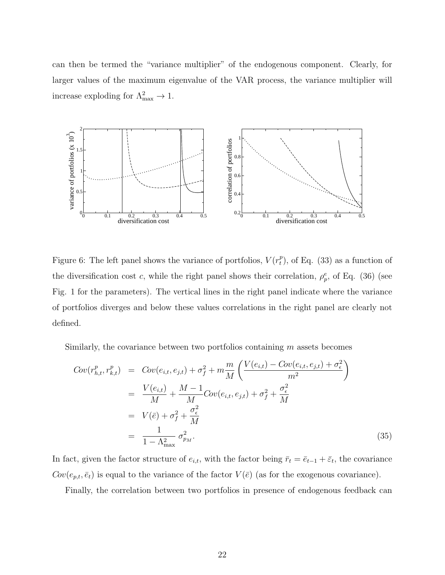can then be termed the "variance multiplier" of the endogenous component. Clearly, for larger values of the maximum eigenvalue of the VAR process, the variance multiplier will increase exploding for  $\Lambda_{\text{max}}^2 \to 1$ .



Figure 6: The left panel shows the variance of portfolios,  $V(r_t^p)$  $_t^p$ , of Eq. (33) as a function of the diversification cost c, while the right panel shows their correlation,  $\rho_p^e$ , of Eq. (36) (see Fig. 1 for the parameters). The vertical lines in the right panel indicate where the variance of portfolios diverges and below these values correlations in the right panel are clearly not defined.

Similarly, the covariance between two portfolios containing  $m$  assets becomes

$$
Cov(r_{h,t}^{p}, r_{k,t}^{p}) = Cov(e_{i,t}, e_{j,t}) + \sigma_{f}^{2} + m \frac{m}{M} \left( \frac{V(e_{i,t}) - Cov(e_{i,t}, e_{j,t}) + \sigma_{\epsilon}^{2}}{m^{2}} \right)
$$
  
= 
$$
\frac{V(e_{i,t})}{M} + \frac{M - 1}{M} Cov(e_{i,t}, e_{j,t}) + \sigma_{f}^{2} + \frac{\sigma_{\epsilon}^{2}}{M}
$$
  
= 
$$
V(\bar{e}) + \sigma_{f}^{2} + \frac{\sigma_{\epsilon}^{2}}{M}
$$
  
= 
$$
\frac{1}{1 - \Lambda_{\max}^{2}} \sigma_{p_{M}}^{2}.
$$
 (35)

In fact, given the factor structure of  $e_{i,t}$ , with the factor being  $\bar{r}_t = \bar{e}_{t-1} + \bar{\varepsilon}_t$ , the covariance  $Cov(e_{p,t}, \bar{e}_t)$  is equal to the variance of the factor  $V(\bar{e})$  (as for the exogenous covariance).

Finally, the correlation between two portfolios in presence of endogenous feedback can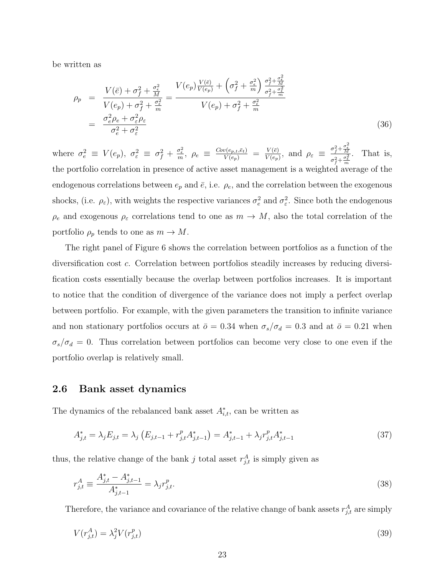be written as

$$
\rho_p = \frac{V(\bar{e}) + \sigma_f^2 + \frac{\sigma_{\epsilon}^2}{M}}{V(e_p) + \sigma_f^2 + \frac{\sigma_{\epsilon}^2}{m}} = \frac{V(e_p)\frac{V(\bar{e})}{V(e_p)} + \left(\sigma_f^2 + \frac{\sigma_{\epsilon}^2}{m}\right)\frac{\sigma_f^2 + \frac{\sigma_{\epsilon}^2}{M}}{\sigma_f^2 + \frac{\sigma_{\epsilon}^2}{m}}}{V(e_p) + \sigma_f^2 + \frac{\sigma_{\epsilon}^2}{m}}
$$
\n
$$
= \frac{\sigma_{e}^2 \rho_e + \sigma_{\epsilon}^2 \rho_{\epsilon}}{\sigma_e^2 + \sigma_{\epsilon}^2} \tag{36}
$$

where  $\sigma_e^2 \equiv V(e_p)$ ,  $\sigma_\varepsilon^2 \equiv \sigma_f^2 + \frac{\sigma_\varepsilon^2}{m}$ ,  $\rho_e \equiv \frac{Cov(e_{p,t},\bar{e}_t)}{V(e_p)} = \frac{V(\bar{e})}{V(e_p)}$  $\frac{V(\bar{e})}{V(e_p)}$ , and  $\rho_{\varepsilon} \equiv \frac{\sigma_f^2 + \frac{\sigma_{\varepsilon}^2}{M}}{\sigma_f^2 + \frac{\sigma_{\varepsilon}^2}{M}}$  $\sigma_f^2 + \frac{\sigma_{\epsilon}^2}{m}$ . That is, the portfolio correlation in presence of active asset management is a weighted average of the endogenous correlations between  $e_p$  and  $\bar{e}$ , i.e.  $\rho_e$ , and the correlation between the exogenous shocks, (i.e.  $\rho_{\varepsilon}$ ), with weights the respective variances  $\sigma_e^2$  and  $\sigma_{\varepsilon}^2$ . Since both the endogenous  $\rho_e$  and exogenous  $\rho_{\varepsilon}$  correlations tend to one as  $m \to M$ , also the total correlation of the portfolio  $\rho_p$  tends to one as  $m \to M$ .

The right panel of Figure 6 shows the correlation between portfolios as a function of the diversification cost c. Correlation between portfolios steadily increases by reducing diversification costs essentially because the overlap between portfolios increases. It is important to notice that the condition of divergence of the variance does not imply a perfect overlap between portfolio. For example, with the given parameters the transition to infinite variance and non stationary portfolios occurs at  $\bar{\sigma} = 0.34$  when  $\sigma_s/\sigma_d = 0.3$  and at  $\bar{\sigma} = 0.21$  when  $\sigma_s/\sigma_d = 0$ . Thus correlation between portfolios can become very close to one even if the portfolio overlap is relatively small.

### 2.6 Bank asset dynamics

The dynamics of the rebalanced bank asset  $A_{i,t}^*$ , can be written as

$$
A_{j,t}^* = \lambda_j E_{j,t} = \lambda_j \left( E_{j,t-1} + r_{j,t}^p A_{j,t-1}^* \right) = A_{j,t-1}^* + \lambda_j r_{j,t}^p A_{j,t-1}^* \tag{37}
$$

thus, the relative change of the bank j total asset  $r_{j,t}^A$  is simply given as

$$
r_{j,t}^A \equiv \frac{A_{j,t}^* - A_{j,t-1}^*}{A_{j,t-1}^*} = \lambda_j r_{j,t}^p.
$$
\n(38)

Therefore, the variance and covariance of the relative change of bank assets  $r_{j,t}^A$  are simply

$$
V(r_{j,t}^A) = \lambda_j^2 V(r_{j,t}^p)
$$
\n<sup>(39)</sup>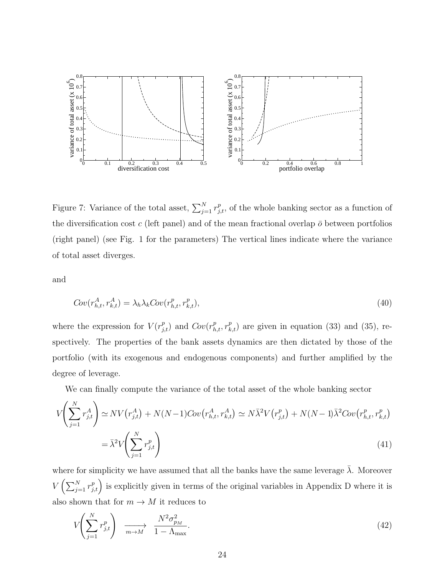

Figure 7: Variance of the total asset,  $\sum_{j=1}^{N} r_{j,t}^p$ , of the whole banking sector as a function of the diversification cost c (left panel) and of the mean fractional overlap  $\bar{o}$  between portfolios (right panel) (see Fig. 1 for the parameters) The vertical lines indicate where the variance of total asset diverges.

and

$$
Cov(r_{h,t}^A, r_{k,t}^A) = \lambda_h \lambda_k Cov(r_{h,t}^p, r_{k,t}^p),
$$
\n
$$
(40)
$$

where the expression for  $V(r_{j,t}^p)$  and  $Cov(r_{h,t}^p, r_{k,t}^p)$  are given in equation (33) and (35), respectively. The properties of the bank assets dynamics are then dictated by those of the portfolio (with its exogenous and endogenous components) and further amplified by the degree of leverage.

We can finally compute the variance of the total asset of the whole banking sector

$$
V\left(\sum_{j=1}^{N} r_{j,t}^{A}\right) \simeq NV(r_{j,t}^{A}) + N(N-1)Cov(r_{h,t}^{A}, r_{k,t}^{A}) \simeq N\bar{\lambda}^{2}V(r_{j,t}^{p}) + N(N-1)\bar{\lambda}^{2}Cov(r_{h,t}^{p}, r_{k,t}^{p})
$$

$$
= \bar{\lambda}^{2}V\left(\sum_{j=1}^{N} r_{j,t}^{p}\right)
$$
(41)

where for simplicity we have assumed that all the banks have the same leverage  $\overline{\lambda}$ . Moreover  $V\left(\sum_{j=1}^N r_{j,t}^p\right)$  is explicitly given in terms of the original variables in Appendix D where it is also shown that for  $m \to M$  it reduces to

$$
V\left(\sum_{j=1}^{N}r_{j,t}^{p}\right) \xrightarrow[m\to M]{} \frac{N^{2}\sigma_{p_{M}}^{2}}{1-\Lambda_{\max}}.\tag{42}
$$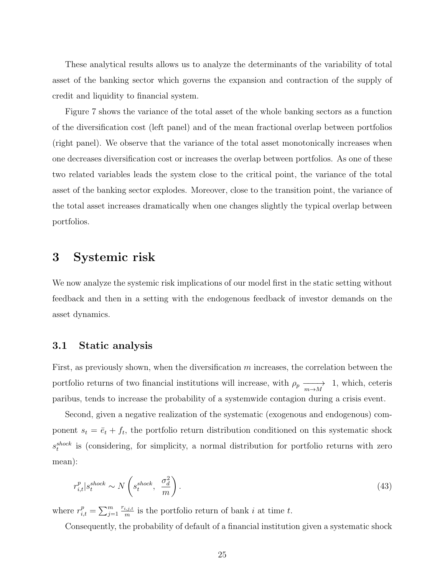These analytical results allows us to analyze the determinants of the variability of total asset of the banking sector which governs the expansion and contraction of the supply of credit and liquidity to financial system.

Figure 7 shows the variance of the total asset of the whole banking sectors as a function of the diversification cost (left panel) and of the mean fractional overlap between portfolios (right panel). We observe that the variance of the total asset monotonically increases when one decreases diversification cost or increases the overlap between portfolios. As one of these two related variables leads the system close to the critical point, the variance of the total asset of the banking sector explodes. Moreover, close to the transition point, the variance of the total asset increases dramatically when one changes slightly the typical overlap between portfolios.

## 3 Systemic risk

We now analyze the systemic risk implications of our model first in the static setting without feedback and then in a setting with the endogenous feedback of investor demands on the asset dynamics.

#### 3.1 Static analysis

First, as previously shown, when the diversification m increases, the correlation between the portfolio returns of two financial institutions will increase, with  $\rho_p \xrightarrow[m \to M]{} 1$ , which, ceteris paribus, tends to increase the probability of a systemwide contagion during a crisis event.

Second, given a negative realization of the systematic (exogenous and endogenous) component  $s_t = \bar{e}_t + f_t$ , the portfolio return distribution conditioned on this systematic shock  $s_t^{shock}$  is (considering, for simplicity, a normal distribution for portfolio returns with zero mean):

$$
r_{i,t}^p | s_t^{shock} \sim N\left(s_t^{shock}, \frac{\sigma_d^2}{m}\right). \tag{43}
$$

where  $r_{i,t}^p = \sum_{j=1}^m$  $r_{i,j,t}$  $\frac{i,j,t}{m}$  is the portfolio return of bank i at time t.

Consequently, the probability of default of a financial institution given a systematic shock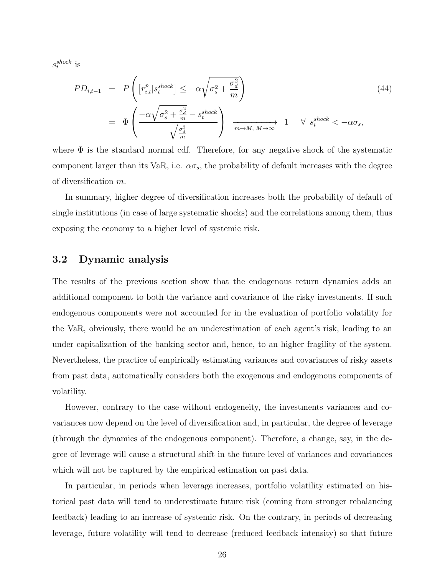$s_t^{shock}$  is

$$
PD_{i,t-1} = P\left([r_{i,t}^p | s_t^{shock}] \le -\alpha \sqrt{\sigma_s^2 + \frac{\sigma_d^2}{m}}\right)
$$
\n
$$
= \Phi\left(\frac{-\alpha \sqrt{\sigma_s^2 + \frac{\sigma_d^2}{m}} - s_t^{shock}}{\sqrt{\frac{\sigma_d^2}{m}}}\right) \xrightarrow[m \to M, M \to \infty]{m \to M, M \to \infty} 1 \quad \forall s_t^{shock} < -\alpha \sigma_s,
$$
\n(44)

where  $\Phi$  is the standard normal cdf. Therefore, for any negative shock of the systematic component larger than its VaR, i.e.  $\alpha \sigma_s$ , the probability of default increases with the degree of diversification m.

In summary, higher degree of diversification increases both the probability of default of single institutions (in case of large systematic shocks) and the correlations among them, thus exposing the economy to a higher level of systemic risk.

### 3.2 Dynamic analysis

The results of the previous section show that the endogenous return dynamics adds an additional component to both the variance and covariance of the risky investments. If such endogenous components were not accounted for in the evaluation of portfolio volatility for the VaR, obviously, there would be an underestimation of each agent's risk, leading to an under capitalization of the banking sector and, hence, to an higher fragility of the system. Nevertheless, the practice of empirically estimating variances and covariances of risky assets from past data, automatically considers both the exogenous and endogenous components of volatility.

However, contrary to the case without endogeneity, the investments variances and covariances now depend on the level of diversification and, in particular, the degree of leverage (through the dynamics of the endogenous component). Therefore, a change, say, in the degree of leverage will cause a structural shift in the future level of variances and covariances which will not be captured by the empirical estimation on past data.

In particular, in periods when leverage increases, portfolio volatility estimated on historical past data will tend to underestimate future risk (coming from stronger rebalancing feedback) leading to an increase of systemic risk. On the contrary, in periods of decreasing leverage, future volatility will tend to decrease (reduced feedback intensity) so that future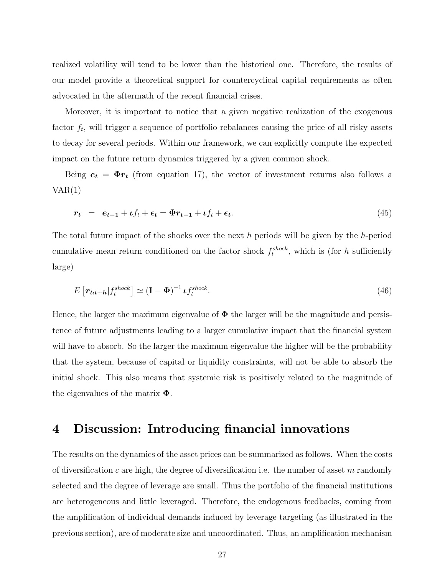realized volatility will tend to be lower than the historical one. Therefore, the results of our model provide a theoretical support for countercyclical capital requirements as often advocated in the aftermath of the recent financial crises.

Moreover, it is important to notice that a given negative realization of the exogenous factor  $f_t$ , will trigger a sequence of portfolio rebalances causing the price of all risky assets to decay for several periods. Within our framework, we can explicitly compute the expected impact on the future return dynamics triggered by a given common shock.

Being  $e_t = \Phi r_t$  (from equation 17), the vector of investment returns also follows a  $VAR(1)$ 

$$
r_t = e_{t-1} + \iota f_t + \epsilon_t = \Phi r_{t-1} + \iota f_t + \epsilon_t. \tag{45}
$$

The total future impact of the shocks over the next h periods will be given by the h-period cumulative mean return conditioned on the factor shock  $f_t^{shock}$ , which is (for h sufficiently large)

$$
E\left[r_{t:t+h}|f_t^{shock}\right] \simeq \left(\mathbf{I} - \mathbf{\Phi}\right)^{-1} \iota f_t^{shock}.\tag{46}
$$

Hence, the larger the maximum eigenvalue of  $\Phi$  the larger will be the magnitude and persistence of future adjustments leading to a larger cumulative impact that the financial system will have to absorb. So the larger the maximum eigenvalue the higher will be the probability that the system, because of capital or liquidity constraints, will not be able to absorb the initial shock. This also means that systemic risk is positively related to the magnitude of the eigenvalues of the matrix  $\Phi$ .

## 4 Discussion: Introducing financial innovations

The results on the dynamics of the asset prices can be summarized as follows. When the costs of diversification c are high, the degree of diversification i.e. the number of asset m randomly selected and the degree of leverage are small. Thus the portfolio of the financial institutions are heterogeneous and little leveraged. Therefore, the endogenous feedbacks, coming from the amplification of individual demands induced by leverage targeting (as illustrated in the previous section), are of moderate size and uncoordinated. Thus, an amplification mechanism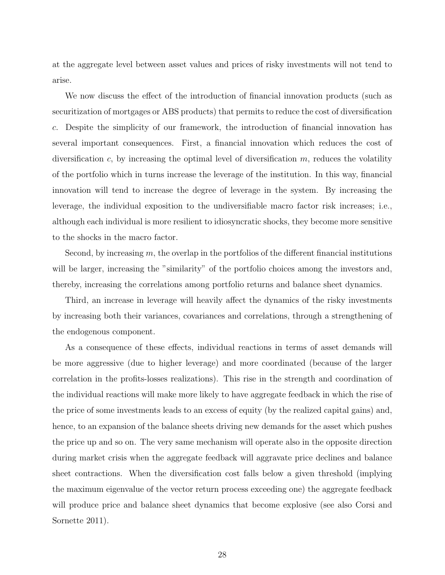at the aggregate level between asset values and prices of risky investments will not tend to arise.

We now discuss the effect of the introduction of financial innovation products (such as securitization of mortgages or ABS products) that permits to reduce the cost of diversification c. Despite the simplicity of our framework, the introduction of financial innovation has several important consequences. First, a financial innovation which reduces the cost of diversification c, by increasing the optimal level of diversification  $m$ , reduces the volatility of the portfolio which in turns increase the leverage of the institution. In this way, financial innovation will tend to increase the degree of leverage in the system. By increasing the leverage, the individual exposition to the undiversifiable macro factor risk increases; i.e., although each individual is more resilient to idiosyncratic shocks, they become more sensitive to the shocks in the macro factor.

Second, by increasing  $m$ , the overlap in the portfolios of the different financial institutions will be larger, increasing the "similarity" of the portfolio choices among the investors and, thereby, increasing the correlations among portfolio returns and balance sheet dynamics.

Third, an increase in leverage will heavily affect the dynamics of the risky investments by increasing both their variances, covariances and correlations, through a strengthening of the endogenous component.

As a consequence of these effects, individual reactions in terms of asset demands will be more aggressive (due to higher leverage) and more coordinated (because of the larger correlation in the profits-losses realizations). This rise in the strength and coordination of the individual reactions will make more likely to have aggregate feedback in which the rise of the price of some investments leads to an excess of equity (by the realized capital gains) and, hence, to an expansion of the balance sheets driving new demands for the asset which pushes the price up and so on. The very same mechanism will operate also in the opposite direction during market crisis when the aggregate feedback will aggravate price declines and balance sheet contractions. When the diversification cost falls below a given threshold (implying the maximum eigenvalue of the vector return process exceeding one) the aggregate feedback will produce price and balance sheet dynamics that become explosive (see also Corsi and Sornette 2011).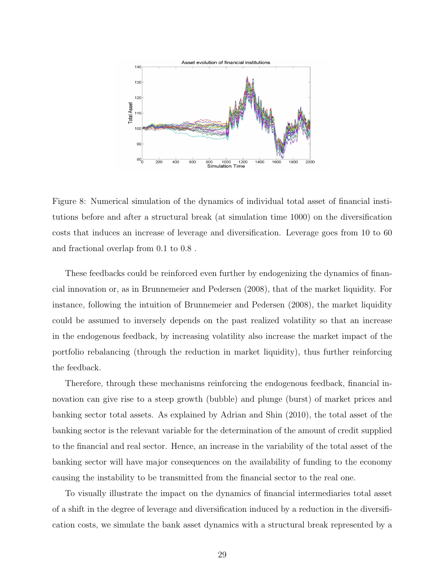

Figure 8: Numerical simulation of the dynamics of individual total asset of financial institutions before and after a structural break (at simulation time 1000) on the diversification costs that induces an increase of leverage and diversification. Leverage goes from 10 to 60 and fractional overlap from 0.1 to 0.8 .

These feedbacks could be reinforced even further by endogenizing the dynamics of financial innovation or, as in Brunnemeier and Pedersen (2008), that of the market liquidity. For instance, following the intuition of Brunnemeier and Pedersen (2008), the market liquidity could be assumed to inversely depends on the past realized volatility so that an increase in the endogenous feedback, by increasing volatility also increase the market impact of the portfolio rebalancing (through the reduction in market liquidity), thus further reinforcing the feedback.

Therefore, through these mechanisms reinforcing the endogenous feedback, financial innovation can give rise to a steep growth (bubble) and plunge (burst) of market prices and banking sector total assets. As explained by Adrian and Shin (2010), the total asset of the banking sector is the relevant variable for the determination of the amount of credit supplied to the financial and real sector. Hence, an increase in the variability of the total asset of the banking sector will have major consequences on the availability of funding to the economy causing the instability to be transmitted from the financial sector to the real one.

To visually illustrate the impact on the dynamics of financial intermediaries total asset of a shift in the degree of leverage and diversification induced by a reduction in the diversification costs, we simulate the bank asset dynamics with a structural break represented by a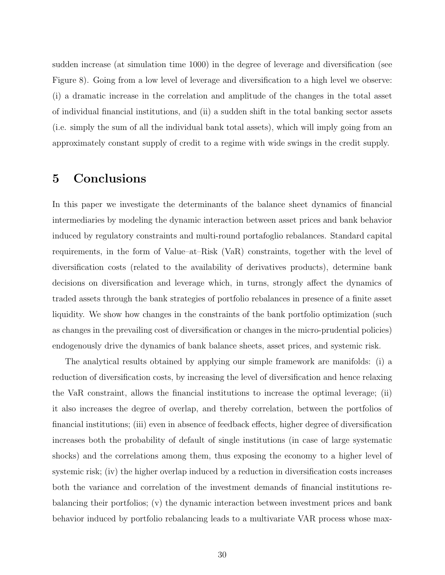sudden increase (at simulation time 1000) in the degree of leverage and diversification (see Figure 8). Going from a low level of leverage and diversification to a high level we observe: (i) a dramatic increase in the correlation and amplitude of the changes in the total asset of individual financial institutions, and (ii) a sudden shift in the total banking sector assets (i.e. simply the sum of all the individual bank total assets), which will imply going from an approximately constant supply of credit to a regime with wide swings in the credit supply.

## 5 Conclusions

In this paper we investigate the determinants of the balance sheet dynamics of financial intermediaries by modeling the dynamic interaction between asset prices and bank behavior induced by regulatory constraints and multi-round portafoglio rebalances. Standard capital requirements, in the form of Value–at–Risk (VaR) constraints, together with the level of diversification costs (related to the availability of derivatives products), determine bank decisions on diversification and leverage which, in turns, strongly affect the dynamics of traded assets through the bank strategies of portfolio rebalances in presence of a finite asset liquidity. We show how changes in the constraints of the bank portfolio optimization (such as changes in the prevailing cost of diversification or changes in the micro-prudential policies) endogenously drive the dynamics of bank balance sheets, asset prices, and systemic risk.

The analytical results obtained by applying our simple framework are manifolds: (i) a reduction of diversification costs, by increasing the level of diversification and hence relaxing the VaR constraint, allows the financial institutions to increase the optimal leverage; (ii) it also increases the degree of overlap, and thereby correlation, between the portfolios of financial institutions; (iii) even in absence of feedback effects, higher degree of diversification increases both the probability of default of single institutions (in case of large systematic shocks) and the correlations among them, thus exposing the economy to a higher level of systemic risk; (iv) the higher overlap induced by a reduction in diversification costs increases both the variance and correlation of the investment demands of financial institutions rebalancing their portfolios; (v) the dynamic interaction between investment prices and bank behavior induced by portfolio rebalancing leads to a multivariate VAR process whose max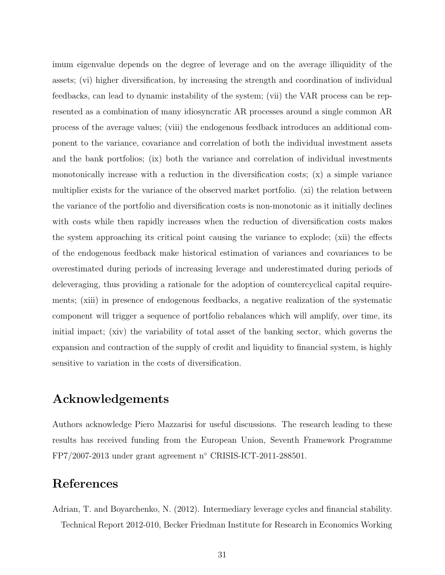imum eigenvalue depends on the degree of leverage and on the average illiquidity of the assets; (vi) higher diversification, by increasing the strength and coordination of individual feedbacks, can lead to dynamic instability of the system; (vii) the VAR process can be represented as a combination of many idiosyncratic AR processes around a single common AR process of the average values; (viii) the endogenous feedback introduces an additional component to the variance, covariance and correlation of both the individual investment assets and the bank portfolios; (ix) both the variance and correlation of individual investments monotonically increase with a reduction in the diversification costs;  $(x)$  a simple variance multiplier exists for the variance of the observed market portfolio. (xi) the relation between the variance of the portfolio and diversification costs is non-monotonic as it initially declines with costs while then rapidly increases when the reduction of diversification costs makes the system approaching its critical point causing the variance to explode; (xii) the effects of the endogenous feedback make historical estimation of variances and covariances to be overestimated during periods of increasing leverage and underestimated during periods of deleveraging, thus providing a rationale for the adoption of countercyclical capital requirements; (xiii) in presence of endogenous feedbacks, a negative realization of the systematic component will trigger a sequence of portfolio rebalances which will amplify, over time, its initial impact; (xiv) the variability of total asset of the banking sector, which governs the expansion and contraction of the supply of credit and liquidity to financial system, is highly sensitive to variation in the costs of diversification.

## Acknowledgements

Authors acknowledge Piero Mazzarisi for useful discussions. The research leading to these results has received funding from the European Union, Seventh Framework Programme FP7/2007-2013 under grant agreement n◦ CRISIS-ICT-2011-288501.

## References

Adrian, T. and Boyarchenko, N. (2012). Intermediary leverage cycles and financial stability. Technical Report 2012-010, Becker Friedman Institute for Research in Economics Working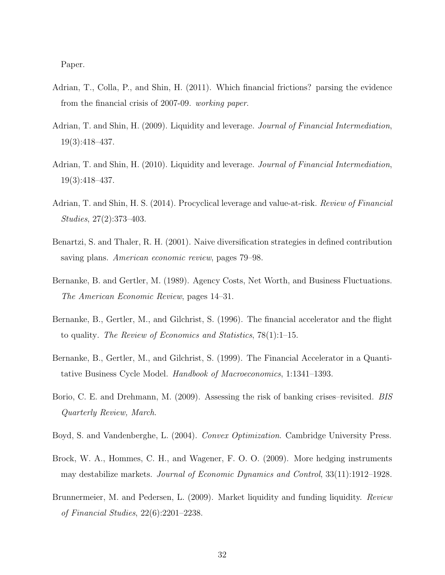Paper.

- Adrian, T., Colla, P., and Shin, H. (2011). Which financial frictions? parsing the evidence from the financial crisis of 2007-09. working paper.
- Adrian, T. and Shin, H. (2009). Liquidity and leverage. *Journal of Financial Intermediation*, 19(3):418–437.
- Adrian, T. and Shin, H. (2010). Liquidity and leverage. *Journal of Financial Intermediation*, 19(3):418–437.
- Adrian, T. and Shin, H. S. (2014). Procyclical leverage and value-at-risk. Review of Financial Studies, 27(2):373–403.
- Benartzi, S. and Thaler, R. H. (2001). Naive diversification strategies in defined contribution saving plans. American economic review, pages 79–98.
- Bernanke, B. and Gertler, M. (1989). Agency Costs, Net Worth, and Business Fluctuations. The American Economic Review, pages 14–31.
- Bernanke, B., Gertler, M., and Gilchrist, S. (1996). The financial accelerator and the flight to quality. The Review of Economics and Statistics, 78(1):1–15.
- Bernanke, B., Gertler, M., and Gilchrist, S. (1999). The Financial Accelerator in a Quantitative Business Cycle Model. Handbook of Macroeconomics, 1:1341–1393.
- Borio, C. E. and Drehmann, M. (2009). Assessing the risk of banking crises–revisited. *BIS* Quarterly Review, March.
- Boyd, S. and Vandenberghe, L. (2004). Convex Optimization. Cambridge University Press.
- Brock, W. A., Hommes, C. H., and Wagener, F. O. O. (2009). More hedging instruments may destabilize markets. Journal of Economic Dynamics and Control, 33(11):1912–1928.
- Brunnermeier, M. and Pedersen, L. (2009). Market liquidity and funding liquidity. Review of Financial Studies, 22(6):2201–2238.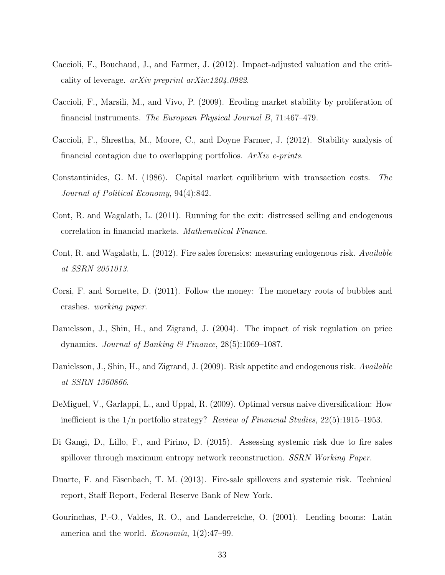- Caccioli, F., Bouchaud, J., and Farmer, J. (2012). Impact-adjusted valuation and the criticality of leverage. arXiv preprint arXiv:1204.0922.
- Caccioli, F., Marsili, M., and Vivo, P. (2009). Eroding market stability by proliferation of financial instruments. The European Physical Journal B, 71:467–479.
- Caccioli, F., Shrestha, M., Moore, C., and Doyne Farmer, J. (2012). Stability analysis of financial contagion due to overlapping portfolios.  $ArXiv$  e-prints.
- Constantinides, G. M. (1986). Capital market equilibrium with transaction costs. The Journal of Political Economy, 94(4):842.
- Cont, R. and Wagalath, L. (2011). Running for the exit: distressed selling and endogenous correlation in financial markets. Mathematical Finance.
- Cont, R. and Wagalath, L. (2012). Fire sales forensics: measuring endogenous risk. Available at SSRN 2051013.
- Corsi, F. and Sornette, D. (2011). Follow the money: The monetary roots of bubbles and crashes. working paper.
- Danıelsson, J., Shin, H., and Zigrand, J. (2004). The impact of risk regulation on price dynamics. Journal of Banking  $\mathcal C$  Finance, 28(5):1069–1087.
- Danielsson, J., Shin, H., and Zigrand, J. (2009). Risk appetite and endogenous risk. Available at SSRN 1360866.
- DeMiguel, V., Garlappi, L., and Uppal, R. (2009). Optimal versus naive diversification: How inefficient is the 1/n portfolio strategy? Review of Financial Studies, 22(5):1915–1953.
- Di Gangi, D., Lillo, F., and Pirino, D. (2015). Assessing systemic risk due to fire sales spillover through maximum entropy network reconstruction. SSRN Working Paper.
- Duarte, F. and Eisenbach, T. M. (2013). Fire-sale spillovers and systemic risk. Technical report, Staff Report, Federal Reserve Bank of New York.
- Gourinchas, P.-O., Valdes, R. O., and Landerretche, O. (2001). Lending booms: Latin america and the world. *Economía*,  $1(2):47-99$ .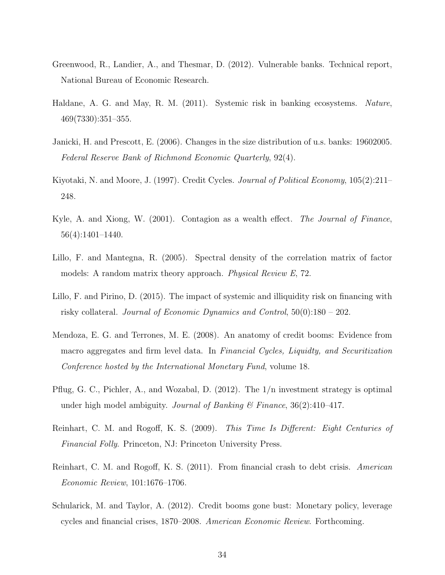- Greenwood, R., Landier, A., and Thesmar, D. (2012). Vulnerable banks. Technical report, National Bureau of Economic Research.
- Haldane, A. G. and May, R. M. (2011). Systemic risk in banking ecosystems. Nature, 469(7330):351–355.
- Janicki, H. and Prescott, E. (2006). Changes in the size distribution of u.s. banks: 19602005. Federal Reserve Bank of Richmond Economic Quarterly, 92(4).
- Kiyotaki, N. and Moore, J. (1997). Credit Cycles. *Journal of Political Economy*, 105(2):211– 248.
- Kyle, A. and Xiong, W. (2001). Contagion as a wealth effect. The Journal of Finance, 56(4):1401–1440.
- Lillo, F. and Mantegna, R. (2005). Spectral density of the correlation matrix of factor models: A random matrix theory approach. *Physical Review E*, 72.
- Lillo, F. and Pirino, D. (2015). The impact of systemic and illiquidity risk on financing with risky collateral. Journal of Economic Dynamics and Control, 50(0):180 – 202.
- Mendoza, E. G. and Terrones, M. E. (2008). An anatomy of credit booms: Evidence from macro aggregates and firm level data. In Financial Cycles, Liquidty, and Securitization Conference hosted by the International Monetary Fund, volume 18.
- Pflug, G. C., Pichler, A., and Wozabal, D. (2012). The 1/n investment strategy is optimal under high model ambiguity. Journal of Banking & Finance,  $36(2)$ :410–417.
- Reinhart, C. M. and Rogoff, K. S. (2009). This Time Is Different: Eight Centuries of Financial Folly. Princeton, NJ: Princeton University Press.
- Reinhart, C. M. and Rogoff, K. S. (2011). From financial crash to debt crisis. American Economic Review, 101:1676–1706.
- Schularick, M. and Taylor, A. (2012). Credit booms gone bust: Monetary policy, leverage cycles and financial crises, 1870–2008. American Economic Review. Forthcoming.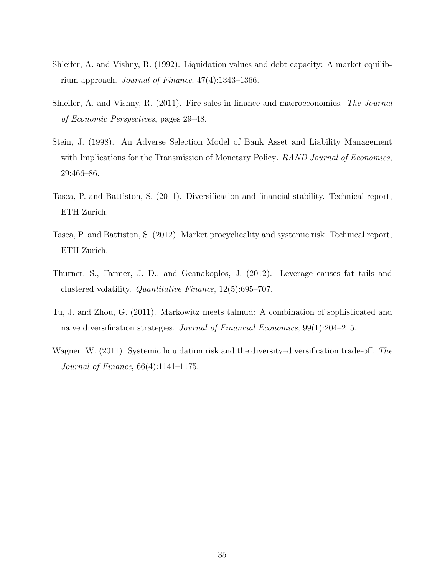- Shleifer, A. and Vishny, R. (1992). Liquidation values and debt capacity: A market equilibrium approach. *Journal of Finance*,  $47(4)$ :1343–1366.
- Shleifer, A. and Vishny, R. (2011). Fire sales in finance and macroeconomics. The Journal of Economic Perspectives, pages 29–48.
- Stein, J. (1998). An Adverse Selection Model of Bank Asset and Liability Management with Implications for the Transmission of Monetary Policy. RAND Journal of Economics, 29:466–86.
- Tasca, P. and Battiston, S. (2011). Diversification and financial stability. Technical report, ETH Zurich.
- Tasca, P. and Battiston, S. (2012). Market procyclicality and systemic risk. Technical report, ETH Zurich.
- Thurner, S., Farmer, J. D., and Geanakoplos, J. (2012). Leverage causes fat tails and clustered volatility. Quantitative Finance, 12(5):695–707.
- Tu, J. and Zhou, G. (2011). Markowitz meets talmud: A combination of sophisticated and naive diversification strategies. Journal of Financial Economics, 99(1):204–215.
- Wagner, W. (2011). Systemic liquidation risk and the diversity–diversification trade-off. The Journal of Finance, 66(4):1141–1175.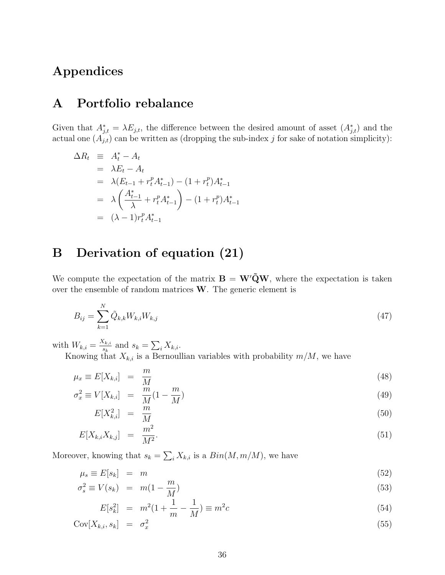## Appendices

## A Portfolio rebalance

Given that  $A_{j,t}^* = \lambda E_{j,t}$ , the difference between the desired amount of asset  $(A_{j,t}^*)$  and the actual one  $(A_{j,t})$  can be written as (dropping the sub-index j for sake of notation simplicity):

$$
\begin{aligned}\n\Delta R_t &\equiv A_t^* - A_t \\
&= \lambda E_t - A_t \\
&= \lambda (E_{t-1} + r_t^p A_{t-1}^*) - (1 + r_t^p) A_{t-1}^* \\
&= \lambda \left( \frac{A_{t-1}^*}{\lambda} + r_t^p A_{t-1}^* \right) - (1 + r_t^p) A_{t-1}^* \\
&= (\lambda - 1) r_t^p A_{t-1}^* \n\end{aligned}
$$

## B Derivation of equation (21)

We compute the expectation of the matrix  $\mathbf{B} = \mathbf{W}'\tilde{\mathbf{Q}}\mathbf{W}$ , where the expectation is taken over the ensemble of random matrices  $W$ . The generic element is

$$
B_{ij} = \sum_{k=1}^{N} \tilde{Q}_{k,k} W_{k,i} W_{k,j}
$$
\n(47)

with  $W_{k,i} = \frac{X_{k,i}}{S_{k,i}}$  $\frac{\Delta_{k,i}}{s_k}$  and  $s_k = \sum_i X_{k,i}.$ 

Knowing that  $X_{k,i}$  is a Bernoullian variables with probability  $m/M$ , we have

$$
\mu_x \equiv E[X_{k,i}] = \frac{m}{M} \tag{48}
$$

$$
\sigma_x^2 \equiv V[X_{k,i}] = \frac{m}{M}(1 - \frac{m}{M})
$$
\n(49)

$$
E[X_{k,i}^2] = \frac{m}{M} \tag{50}
$$

$$
E[X_{k,i}X_{k,j}] = \frac{m^2}{M^2}.
$$
\n(51)

Moreover, knowing that  $s_k = \sum_i X_{k,i}$  is a  $Bin(M, m/M)$ , we have

$$
\mu_s \equiv E[s_k] = m \tag{52}
$$

$$
\sigma_s^2 \equiv V(s_k) = m(1 - \frac{m}{M})
$$
\n(53)

$$
E[s_k^2] = m^2(1 + \frac{1}{m} - \frac{1}{M}) \equiv m^2 c \tag{54}
$$

$$
Cov[X_{k,i}, s_k] = \sigma_x^2 \tag{55}
$$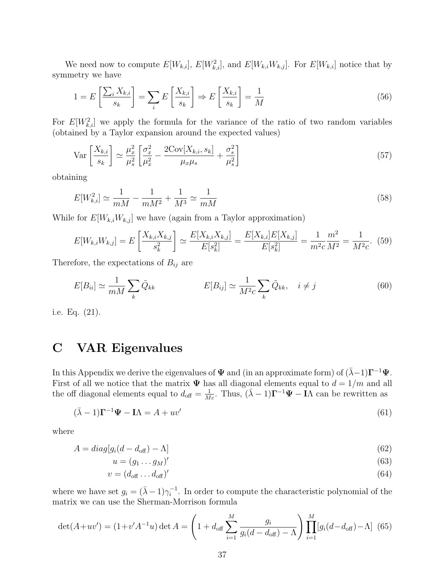We need now to compute  $E[W_{k,i}], E[W_{k,i}^2],$  and  $E[W_{k,i}W_{k,j}]$ . For  $E[W_{k,i}]$  notice that by symmetry we have

$$
1 = E\left[\frac{\sum_{i} X_{k,i}}{s_k}\right] = \sum_{i} E\left[\frac{X_{k,i}}{s_k}\right] \Rightarrow E\left[\frac{X_{k,i}}{s_k}\right] = \frac{1}{M}
$$
\n(56)

For  $E[W_{k,i}^2]$  we apply the formula for the variance of the ratio of two random variables (obtained by a Taylor expansion around the expected values)

$$
\operatorname{Var}\left[\frac{X_{k,i}}{s_k}\right] \simeq \frac{\mu_x^2}{\mu_s^2} \left[\frac{\sigma_x^2}{\mu_x^2} - \frac{2\operatorname{Cov}[X_{k,i}, s_k]}{\mu_x \mu_s} + \frac{\sigma_s^2}{\mu_s^2}\right]
$$
(57)

obtaining

$$
E[W_{k,i}^2] \simeq \frac{1}{mM} - \frac{1}{mM^2} + \frac{1}{M^3} \simeq \frac{1}{mM}
$$
\n(58)

While for  $E[W_{k,i}W_{k,j}]$  we have (again from a Taylor approximation)

$$
E[W_{k,i}W_{k,j}] = E\left[\frac{X_{k,i}X_{k,j}}{s_k^2}\right] \simeq \frac{E[X_{k,i}X_{k,j}]}{E[s_k^2]} = \frac{E[X_{k,i}]E[X_{k,j}]}{E[s_k^2]} = \frac{1}{m^2c}\frac{m^2}{M^2} = \frac{1}{M^2c}.
$$
 (59)

Therefore, the expectations of  $B_{ij}$  are

$$
E[B_{ii}] \simeq \frac{1}{mM} \sum_{k} \tilde{Q}_{kk} \qquad E[B_{ij}] \simeq \frac{1}{M^2 c} \sum_{k} \tilde{Q}_{kk}, \quad i \neq j \qquad (60)
$$

i.e. Eq. (21).

## C VAR Eigenvalues

In this Appendix we derive the eigenvalues of  $\Psi$  and (in an approximate form) of  $(\bar{\lambda}-1)\Gamma^{-1}\Psi$ . First of all we notice that the matrix  $\Psi$  has all diagonal elements equal to  $d = 1/m$  and all the off diagonal elements equal to  $d_{\text{off}} = \frac{1}{Mc}$ . Thus,  $(\bar{\lambda} - 1)\Gamma^{-1}\Psi - \bar{\mathbf{I}}\Lambda$  can be rewritten as

$$
(\bar{\lambda} - 1)\mathbf{\Gamma}^{-1}\mathbf{\Psi} - \mathbf{I}\Lambda = A + uv'
$$
\n(61)

where

$$
A = diag[g_i(d - d_{\text{off}}) - \Lambda] \tag{62}
$$

$$
u = (g_1 \dots g_M)'
$$
\n<sup>(63)</sup>

$$
v = (d_{\text{off}} \dots d_{\text{off}})'
$$
\n(64)

where we have set  $g_i = (\bar{\lambda} - 1)\gamma_i^{-1}$  $i^{-1}$ . In order to compute the characteristic polynomial of the matrix we can use the Sherman-Morrison formula

$$
\det(A + uv') = (1 + v'A^{-1}u) \det A = \left(1 + d_{\text{off}} \sum_{i=1}^{M} \frac{g_i}{g_i(d - d_{\text{off}}) - \Lambda} \right) \prod_{i=1}^{M} [g_i(d - d_{\text{off}}) - \Lambda] \tag{65}
$$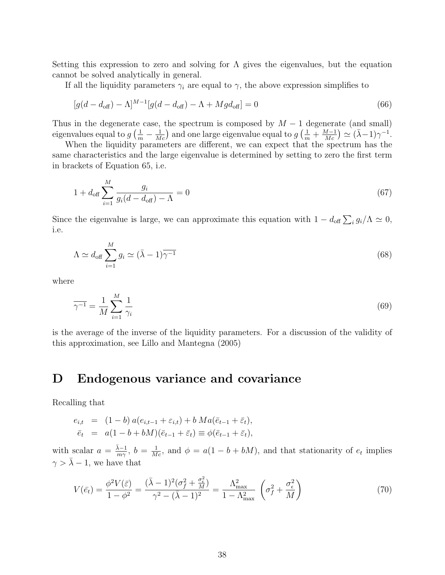Setting this expression to zero and solving for  $\Lambda$  gives the eigenvalues, but the equation cannot be solved analytically in general.

If all the liquidity parameters  $\gamma_i$  are equal to  $\gamma$ , the above expression simplifies to

$$
[g(d - d_{\text{off}}) - \Lambda]^{M-1}[g(d - d_{\text{off}}) - \Lambda + Mgd_{\text{off}}] = 0
$$
\n(66)

Thus in the degenerate case, the spectrum is composed by  $M-1$  degenerate (and small) eigenvalues equal to  $g\left(\frac{1}{m}-\frac{1}{Mc}\right)$  and one large eigenvalue equal to  $g\left(\frac{1}{m}+\frac{M-1}{Mc}\right) \simeq (\bar{\lambda}-1)\gamma^{-1}$ .

When the liquidity parameters are different, we can expect that the spectrum has the same characteristics and the large eigenvalue is determined by setting to zero the first term in brackets of Equation 65, i.e.

$$
1 + d_{\text{off}} \sum_{i=1}^{M} \frac{g_i}{g_i(d - d_{\text{off}}) - \Lambda} = 0
$$
\n(67)

Since the eigenvalue is large, we can approximate this equation with  $1 - d_{\text{off}} \sum_i g_i / \Lambda \simeq 0$ , i.e.

$$
\Lambda \simeq d_{\text{off}} \sum_{i=1}^{M} g_i \simeq (\bar{\lambda} - 1)\overline{\gamma^{-1}}
$$
\n(68)

where

$$
\overline{\gamma^{-1}} = \frac{1}{M} \sum_{i=1}^{M} \frac{1}{\gamma_i} \tag{69}
$$

is the average of the inverse of the liquidity parameters. For a discussion of the validity of this approximation, see Lillo and Mantegna (2005)

## D Endogenous variance and covariance

Recalling that

$$
e_{i,t} = (1 - b) a(e_{i,t-1} + \varepsilon_{i,t}) + b Ma(\bar{e}_{t-1} + \bar{\varepsilon}_t),
$$
  
\n
$$
\bar{e}_t = a(1 - b + bM)(\bar{e}_{t-1} + \bar{\varepsilon}_t) \equiv \phi(\bar{e}_{t-1} + \bar{\varepsilon}_t),
$$

with scalar  $a = \frac{\bar{\lambda}-1}{m\gamma}$  $\frac{\lambda-1}{m\gamma}$ ,  $b = \frac{1}{Mc}$ , and  $\phi = a(1 - b + bM)$ , and that stationarity of  $e_t$  implies  $\gamma > \bar{\lambda} - 1$ , we have that

$$
V(\bar{e}_t) = \frac{\phi^2 V(\bar{\varepsilon})}{1 - \phi^2} = \frac{(\bar{\lambda} - 1)^2 (\sigma_f^2 + \frac{\sigma_\epsilon^2}{M})}{\gamma^2 - (\bar{\lambda} - 1)^2} = \frac{\Lambda_{\text{max}}^2}{1 - \Lambda_{\text{max}}^2} \left( \sigma_f^2 + \frac{\sigma_\epsilon^2}{M} \right)
$$
(70)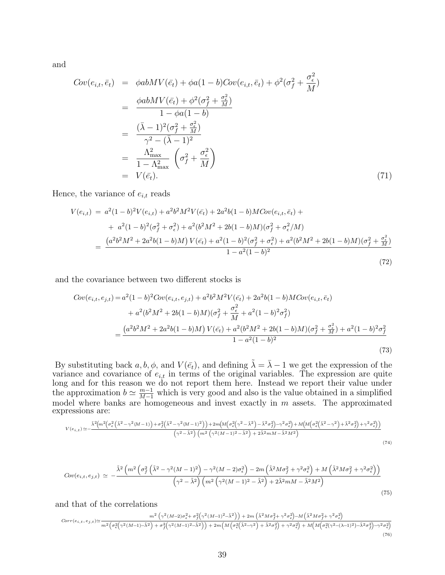and

$$
Cov(e_{i,t}, \bar{e}_t) = \phi abMV(\bar{e}_t) + \phi a (1 - b)Cov(e_{i,t}, \bar{e}_t) + \phi^2(\sigma_f^2 + \frac{\sigma_{\epsilon}^2}{M})
$$
  
\n
$$
= \frac{\phi abMV(\bar{e}_t) + \phi^2(\sigma_f^2 + \frac{\sigma_{\epsilon}^2}{M})}{1 - \phi a (1 - b)}
$$
  
\n
$$
= \frac{(\bar{\lambda} - 1)^2(\sigma_f^2 + \frac{\sigma_{\epsilon}^2}{M})}{\gamma^2 - (\bar{\lambda} - 1)^2}
$$
  
\n
$$
= \frac{\Lambda_{\text{max}}^2}{1 - \Lambda_{\text{max}}^2} \left(\sigma_f^2 + \frac{\sigma_{\epsilon}^2}{M}\right)
$$
  
\n
$$
= V(\bar{e}_t).
$$
 (71)

Hence, the variance of  $e_{i,t}$  reads

$$
V(e_{i,t}) = a^{2}(1-b)^{2}V(e_{i,t}) + a^{2}b^{2}M^{2}V(\bar{e}_{t}) + 2a^{2}b(1-b)MCov(e_{i,t}, \bar{e}_{t}) +
$$
  
+  $a^{2}(1-b)^{2}(\sigma_{f}^{2} + \sigma_{\epsilon}^{2}) + a^{2}(b^{2}M^{2} + 2b(1-b)M)(\sigma_{f}^{2} + \sigma_{\epsilon}^{2}/M)$   
= 
$$
\frac{(a^{2}b^{2}M^{2} + 2a^{2}b(1-b)M)V(\bar{e}_{t}) + a^{2}(1-b)^{2}(\sigma_{f}^{2} + \sigma_{\epsilon}^{2}) + a^{2}(b^{2}M^{2} + 2b(1-b)M)(\sigma_{f}^{2} + \frac{\sigma_{\epsilon}^{2}}{M})}{1 - a^{2}(1-b)^{2}}
$$
(72)

and the covariance between two different stocks is

$$
Cov(e_{i,t}, e_{j,t}) = a^2 (1 - b)^2 Cov(e_{i,t}, e_{j,t}) + a^2 b^2 M^2 V(\bar{e}_t) + 2a^2 b (1 - b) M Cov(e_{i,t}, \bar{e}_t)
$$
  
+ 
$$
a^2 (b^2 M^2 + 2b(1 - b) M)(\sigma_f^2 + \frac{\sigma_\epsilon^2}{M} + a^2 (1 - b)^2 \sigma_f^2)
$$
  
= 
$$
\frac{(a^2 b^2 M^2 + 2a^2 b (1 - b) M) V(\bar{e}_t) + a^2 (b^2 M^2 + 2b(1 - b) M)(\sigma_f^2 + \frac{\sigma_\epsilon^2}{M}) + a^2 (1 - b)^2 \sigma_f^2}{1 - a^2 (1 - b)^2}
$$
(73)

By substituting back  $a, b, \phi$ , and  $V(\bar{e_t})$ , and defining  $\tilde{\lambda} = \bar{\lambda} - 1$  we get the expression of the variance and covariance of  $e_{i,t}$  in terms of the original variables. The expression are quite long and for this reason we do not report them here. Instead we report their value under the approximation  $b \simeq \frac{m-1}{M-1}$  which is very good and also is the value obtained in a simplified model where banks are homogeneous and invest exactly in  $m$  assets. The approximated expressions are:

$$
V(e_{i,t}) \simeq -\frac{\tilde{\lambda}^2 \left(m^2 \left(\sigma_{\epsilon}^2 \left(\tilde{\lambda}^2 - \gamma^2 (M-1)\right) + \sigma_f^2 \left(\tilde{\lambda}^2 - \gamma^2 (M-1)^2\right)\right) + 2m \left(M \left(\sigma_{\epsilon}^2 \left(\gamma^2 - \tilde{\lambda}^2\right) - \tilde{\lambda}^2 \sigma_f^2\right) - \gamma^2 \sigma_{\epsilon}^2\right) + M \left(M \left(\sigma_{\epsilon}^2 \left(\tilde{\lambda}^2 - \gamma^2\right) + \tilde{\lambda}^2 \sigma_f^2\right) + \gamma^2 \sigma_{\epsilon}^2\right)\right)}{\left(\gamma^2 - \tilde{\lambda}^2\right)\left(m^2 \left(\gamma^2 (M-1)^2 - \tilde{\lambda}^2\right) + 2\tilde{\lambda}^2 m M - \tilde{\lambda}^2 M^2\right)}
$$
\n(74)

$$
Cov(e_{i,t}, e_{j,t}) \simeq -\frac{\tilde{\lambda}^2 \left( m^2 \left( \sigma_f^2 \left( \tilde{\lambda}^2 - \gamma^2 (M-1)^2 \right) - \gamma^2 (M-2) \sigma_\epsilon^2 \right) - 2m \left( \tilde{\lambda}^2 M \sigma_f^2 + \gamma^2 \sigma_\epsilon^2 \right) + M \left( \tilde{\lambda}^2 M \sigma_f^2 + \gamma^2 \sigma_\epsilon^2 \right) \right)}{\left( \gamma^2 - \tilde{\lambda}^2 \right) \left( m^2 \left( \gamma^2 (M-1)^2 - \tilde{\lambda}^2 \right) + 2 \tilde{\lambda}^2 m M - \tilde{\lambda}^2 M^2 \right)}
$$
\n(75)

and that of the correlations

$$
Corr(e_{i,t},e_{j,t}) \simeq \frac{m^2 \left(\gamma^2 (M-2)\sigma_\epsilon^2 + \sigma_f^2 \left(\gamma^2 (M-1)^2 - \tilde{\lambda}^2\right)\right) + 2m \left(\tilde{\lambda}^2 M \sigma_f^2 + \gamma^2 \sigma_\epsilon^2\right) - M \left(\tilde{\lambda}^2 M \sigma_f^2 + \gamma^2 \sigma_\epsilon^2\right)}{m^2 \left(\sigma_\epsilon^2 \left(\gamma^2 (M-1) - \tilde{\lambda}^2\right) + \sigma_f^2 \left(\gamma^2 (M-1)^2 - \tilde{\lambda}^2\right)\right) + 2m \left(M \left(\sigma_\epsilon^2 \left(\tilde{\lambda}^2 - \gamma^2\right) + \tilde{\lambda}^2 \sigma_f^2\right) + \gamma^2 \sigma_\epsilon^2\right) + M \left(M \left(\sigma_\epsilon^2 \left(\gamma^2 - (\lambda - 1)^2\right) - \tilde{\lambda}^2 \sigma_f^2\right) - \gamma^2 \sigma_\epsilon^2\right)}\right)
$$
\n(76)